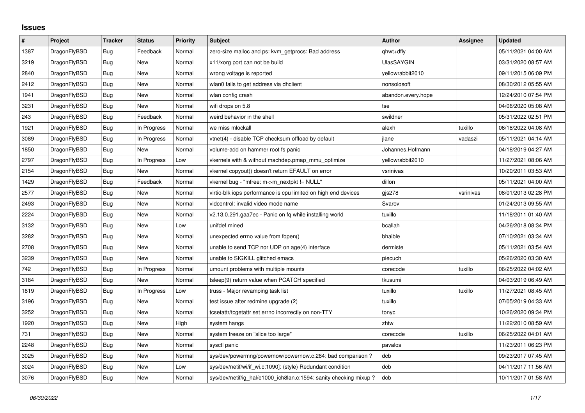## **Issues**

| $\vert$ # | Project      | <b>Tracker</b> | <b>Status</b> | <b>Priority</b> | <b>Subject</b>                                                    | <b>Author</b>      | Assignee  | <b>Updated</b>      |
|-----------|--------------|----------------|---------------|-----------------|-------------------------------------------------------------------|--------------------|-----------|---------------------|
| 1387      | DragonFlyBSD | Bug            | Feedback      | Normal          | zero-size malloc and ps: kvm_getprocs: Bad address                | qhwt+dfly          |           | 05/11/2021 04:00 AM |
| 3219      | DragonFlyBSD | <b>Bug</b>     | <b>New</b>    | Normal          | x11/xorg port can not be build                                    | UlasSAYGIN         |           | 03/31/2020 08:57 AM |
| 2840      | DragonFlyBSD | Bug            | New           | Normal          | wrong voltage is reported                                         | yellowrabbit2010   |           | 09/11/2015 06:09 PM |
| 2412      | DragonFlyBSD | Bug            | <b>New</b>    | Normal          | wlan0 fails to get address via dhclient                           | nonsolosoft        |           | 08/30/2012 05:55 AM |
| 1941      | DragonFlyBSD | <b>Bug</b>     | New           | Normal          | wlan config crash                                                 | abandon.every.hope |           | 12/24/2010 07:54 PM |
| 3231      | DragonFlyBSD | Bug            | New           | Normal          | wifi drops on 5.8                                                 | tse                |           | 04/06/2020 05:08 AM |
| 243       | DragonFlyBSD | Bug            | Feedback      | Normal          | weird behavior in the shell                                       | swildner           |           | 05/31/2022 02:51 PM |
| 1921      | DragonFlyBSD | Bug            | In Progress   | Normal          | we miss mlockall                                                  | alexh              | tuxillo   | 06/18/2022 04:08 AM |
| 3089      | DragonFlyBSD | <b>Bug</b>     | In Progress   | Normal          | vtnet(4) - disable TCP checksum offload by default                | jlane              | vadaszi   | 05/11/2021 04:14 AM |
| 1850      | DragonFlyBSD | <b>Bug</b>     | <b>New</b>    | Normal          | volume-add on hammer root fs panic                                | Johannes.Hofmann   |           | 04/18/2019 04:27 AM |
| 2797      | DragonFlyBSD | Bug            | In Progress   | Low             | vkernels with & without machdep.pmap_mmu_optimize                 | yellowrabbit2010   |           | 11/27/2021 08:06 AM |
| 2154      | DragonFlyBSD | <b>Bug</b>     | New           | Normal          | vkernel copyout() doesn't return EFAULT on error                  | vsrinivas          |           | 10/20/2011 03:53 AM |
| 1429      | DragonFlyBSD | Bug            | Feedback      | Normal          | vkernel bug - "mfree: m->m_nextpkt != NULL"                       | dillon             |           | 05/11/2021 04:00 AM |
| 2577      | DragonFlyBSD | <b>Bug</b>     | New           | Normal          | virtio-blk iops performance is cpu limited on high end devices    | gjs278             | vsrinivas | 08/01/2013 02:28 PM |
| 2493      | DragonFlyBSD | <b>Bug</b>     | New           | Normal          | vidcontrol: invalid video mode name                               | Svarov             |           | 01/24/2013 09:55 AM |
| 2224      | DragonFlyBSD | Bug            | <b>New</b>    | Normal          | v2.13.0.291.gaa7ec - Panic on fq while installing world           | tuxillo            |           | 11/18/2011 01:40 AM |
| 3132      | DragonFlyBSD | Bug            | New           | Low             | unifdef mined                                                     | bcallah            |           | 04/26/2018 08:34 PM |
| 3282      | DragonFlyBSD | <b>Bug</b>     | New           | Normal          | unexpected errno value from fopen()                               | bhaible            |           | 07/10/2021 03:34 AM |
| 2708      | DragonFlyBSD | Bug            | New           | Normal          | unable to send TCP nor UDP on age(4) interface                    | dermiste           |           | 05/11/2021 03:54 AM |
| 3239      | DragonFlyBSD | <b>Bug</b>     | New           | Normal          | unable to SIGKILL glitched emacs                                  | piecuch            |           | 05/26/2020 03:30 AM |
| 742       | DragonFlyBSD | <b>Bug</b>     | In Progress   | Normal          | umount problems with multiple mounts                              | corecode           | tuxillo   | 06/25/2022 04:02 AM |
| 3184      | DragonFlyBSD | <b>Bug</b>     | New           | Normal          | tsleep(9) return value when PCATCH specified                      | tkusumi            |           | 04/03/2019 06:49 AM |
| 1819      | DragonFlyBSD | Bug            | In Progress   | Low             | truss - Major revamping task list                                 | tuxillo            | tuxillo   | 11/27/2021 08:45 AM |
| 3196      | DragonFlyBSD | <b>Bug</b>     | New           | Normal          | test issue after redmine upgrade (2)                              | tuxillo            |           | 07/05/2019 04:33 AM |
| 3252      | DragonFlyBSD | <b>Bug</b>     | <b>New</b>    | Normal          | tcsetattr/tcgetattr set errno incorrectly on non-TTY              | tonyc              |           | 10/26/2020 09:34 PM |
| 1920      | DragonFlyBSD | Bug            | New           | High            | system hangs                                                      | zhtw               |           | 11/22/2010 08:59 AM |
| 731       | DragonFlyBSD | <b>Bug</b>     | New           | Normal          | system freeze on "slice too large"                                | corecode           | tuxillo   | 06/25/2022 04:01 AM |
| 2248      | DragonFlyBSD | <b>Bug</b>     | <b>New</b>    | Normal          | sysctl panic                                                      | pavalos            |           | 11/23/2011 06:23 PM |
| 3025      | DragonFlyBSD | <b>Bug</b>     | New           | Normal          | sys/dev/powermng/powernow/powernow.c:284: bad comparison?         | dcb                |           | 09/23/2017 07:45 AM |
| 3024      | DragonFlyBSD | Bug            | New           | Low             | sys/dev/netif/wi/if wi.c:1090]: (style) Redundant condition       | dcb                |           | 04/11/2017 11:56 AM |
| 3076      | DragonFlyBSD | Bug            | New           | Normal          | sys/dev/netif/ig_hal/e1000_ich8lan.c:1594: sanity checking mixup? | dcb                |           | 10/11/2017 01:58 AM |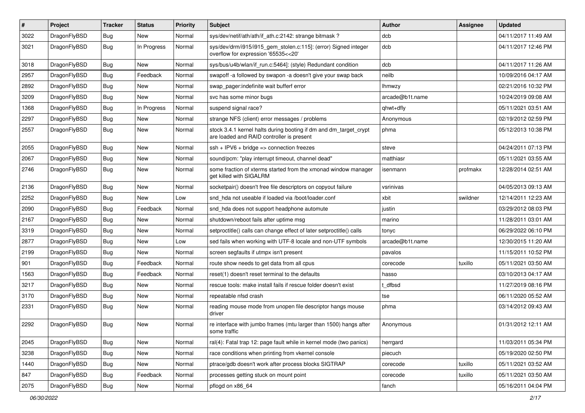| #    | Project      | <b>Tracker</b> | <b>Status</b> | <b>Priority</b> | Subject                                                                                                        | <b>Author</b>   | <b>Assignee</b> | <b>Updated</b>      |
|------|--------------|----------------|---------------|-----------------|----------------------------------------------------------------------------------------------------------------|-----------------|-----------------|---------------------|
| 3022 | DragonFlyBSD | Bug            | New           | Normal          | sys/dev/netif/ath/ath/if_ath.c:2142: strange bitmask?                                                          | dcb             |                 | 04/11/2017 11:49 AM |
| 3021 | DragonFlyBSD | Bug            | In Progress   | Normal          | sys/dev/drm/i915/i915_gem_stolen.c:115]: (error) Signed integer<br>overflow for expression '65535<<20'         | dcb             |                 | 04/11/2017 12:46 PM |
| 3018 | DragonFlyBSD | Bug            | New           | Normal          | sys/bus/u4b/wlan/if_run.c:5464]: (style) Redundant condition                                                   | dcb             |                 | 04/11/2017 11:26 AM |
| 2957 | DragonFlyBSD | Bug            | Feedback      | Normal          | swapoff -a followed by swapon -a doesn't give your swap back                                                   | neilb           |                 | 10/09/2016 04:17 AM |
| 2892 | DragonFlyBSD | <b>Bug</b>     | New           | Normal          | swap pager:indefinite wait bufferf error                                                                       | <b>Ihmwzy</b>   |                 | 02/21/2016 10:32 PM |
| 3209 | DragonFlyBSD | <b>Bug</b>     | <b>New</b>    | Normal          | svc has some minor bugs                                                                                        | arcade@b1t.name |                 | 10/24/2019 09:08 AM |
| 1368 | DragonFlyBSD | <b>Bug</b>     | In Progress   | Normal          | suspend signal race?                                                                                           | qhwt+dfly       |                 | 05/11/2021 03:51 AM |
| 2297 | DragonFlyBSD | <b>Bug</b>     | <b>New</b>    | Normal          | strange NFS (client) error messages / problems                                                                 | Anonymous       |                 | 02/19/2012 02:59 PM |
| 2557 | DragonFlyBSD | <b>Bug</b>     | New           | Normal          | stock 3.4.1 kernel halts during booting if dm and dm_target_crypt<br>are loaded and RAID controller is present | phma            |                 | 05/12/2013 10:38 PM |
| 2055 | DragonFlyBSD | <b>Bug</b>     | <b>New</b>    | Normal          | $ssh + IPV6 + bridge \Rightarrow connection freezes$                                                           | steve           |                 | 04/24/2011 07:13 PM |
| 2067 | DragonFlyBSD | Bug            | New           | Normal          | sound/pcm: "play interrupt timeout, channel dead"                                                              | matthiasr       |                 | 05/11/2021 03:55 AM |
| 2746 | DragonFlyBSD | <b>Bug</b>     | New           | Normal          | some fraction of xterms started from the xmonad window manager<br>get killed with SIGALRM                      | isenmann        | profmakx        | 12/28/2014 02:51 AM |
| 2136 | DragonFlyBSD | Bug            | <b>New</b>    | Normal          | socketpair() doesn't free file descriptors on copyout failure                                                  | vsrinivas       |                 | 04/05/2013 09:13 AM |
| 2252 | DragonFlyBSD | <b>Bug</b>     | <b>New</b>    | Low             | snd_hda not useable if loaded via /boot/loader.conf                                                            | xbit            | swildner        | 12/14/2011 12:23 AM |
| 2090 | DragonFlyBSD | Bug            | Feedback      | Normal          | snd_hda does not support headphone automute                                                                    | justin          |                 | 03/29/2012 08:03 PM |
| 2167 | DragonFlyBSD | <b>Bug</b>     | New           | Normal          | shutdown/reboot fails after uptime msg                                                                         | marino          |                 | 11/28/2011 03:01 AM |
| 3319 | DragonFlyBSD | <b>Bug</b>     | New           | Normal          | setproctitle() calls can change effect of later setproctitle() calls                                           | tonyc           |                 | 06/29/2022 06:10 PM |
| 2877 | DragonFlyBSD | Bug            | New           | Low             | sed fails when working with UTF-8 locale and non-UTF symbols                                                   | arcade@b1t.name |                 | 12/30/2015 11:20 AM |
| 2199 | DragonFlyBSD | <b>Bug</b>     | New           | Normal          | screen segfaults if utmpx isn't present                                                                        | pavalos         |                 | 11/15/2011 10:52 PM |
| 901  | DragonFlyBSD | Bug            | Feedback      | Normal          | route show needs to get data from all cpus                                                                     | corecode        | tuxillo         | 05/11/2021 03:50 AM |
| 1563 | DragonFlyBSD | <b>Bug</b>     | Feedback      | Normal          | reset(1) doesn't reset terminal to the defaults                                                                | hasso           |                 | 03/10/2013 04:17 AM |
| 3217 | DragonFlyBSD | <b>Bug</b>     | New           | Normal          | rescue tools: make install fails if rescue folder doesn't exist                                                | t dfbsd         |                 | 11/27/2019 08:16 PM |
| 3170 | DragonFlyBSD | Bug            | New           | Normal          | repeatable nfsd crash                                                                                          | tse             |                 | 06/11/2020 05:52 AM |
| 2331 | DragonFlyBSD | <b>Bug</b>     | New           | Normal          | reading mouse mode from unopen file descriptor hangs mouse<br>driver                                           | phma            |                 | 03/14/2012 09:43 AM |
| 2292 | DragonFlyBSD | Bug            | New           | Normal          | re interface with jumbo frames (mtu larger than 1500) hangs after<br>some traffic                              | Anonymous       |                 | 01/31/2012 12:11 AM |
| 2045 | DragonFlyBSD | Bug            | New           | Normal          | ral(4): Fatal trap 12: page fault while in kernel mode (two panics)                                            | herrgard        |                 | 11/03/2011 05:34 PM |
| 3238 | DragonFlyBSD | <b>Bug</b>     | New           | Normal          | race conditions when printing from vkernel console                                                             | piecuch         |                 | 05/19/2020 02:50 PM |
| 1440 | DragonFlyBSD | <b>Bug</b>     | New           | Normal          | ptrace/gdb doesn't work after process blocks SIGTRAP                                                           | corecode        | tuxillo         | 05/11/2021 03:52 AM |
| 847  | DragonFlyBSD | <b>Bug</b>     | Feedback      | Normal          | processes getting stuck on mount point                                                                         | corecode        | tuxillo         | 05/11/2021 03:50 AM |
| 2075 | DragonFlyBSD | <b>Bug</b>     | New           | Normal          | pflogd on x86_64                                                                                               | fanch           |                 | 05/16/2011 04:04 PM |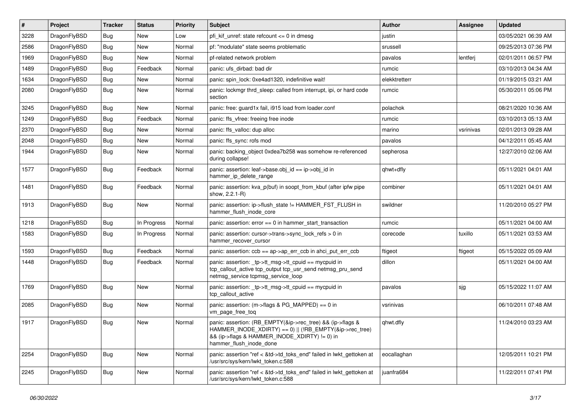| $\vert$ # | Project      | <b>Tracker</b> | <b>Status</b> | <b>Priority</b> | Subject                                                                                                                                                                                           | <b>Author</b> | Assignee  | <b>Updated</b>      |
|-----------|--------------|----------------|---------------|-----------------|---------------------------------------------------------------------------------------------------------------------------------------------------------------------------------------------------|---------------|-----------|---------------------|
| 3228      | DragonFlyBSD | Bug            | New           | Low             | pfi kif unref: state refcount $\leq$ 0 in dmesg                                                                                                                                                   | justin        |           | 03/05/2021 06:39 AM |
| 2586      | DragonFlyBSD | Bug            | New           | Normal          | pf: "modulate" state seems problematic                                                                                                                                                            | srussell      |           | 09/25/2013 07:36 PM |
| 1969      | DragonFlyBSD | Bug            | New           | Normal          | pf-related network problem                                                                                                                                                                        | pavalos       | lentferj  | 02/01/2011 06:57 PM |
| 1489      | DragonFlyBSD | <b>Bug</b>     | Feedback      | Normal          | panic: ufs dirbad: bad dir                                                                                                                                                                        | rumcic        |           | 03/10/2013 04:34 AM |
| 1634      | DragonFlyBSD | <b>Bug</b>     | <b>New</b>    | Normal          | panic: spin lock: 0xe4ad1320, indefinitive wait!                                                                                                                                                  | elekktretterr |           | 01/19/2015 03:21 AM |
| 2080      | DragonFlyBSD | <b>Bug</b>     | New           | Normal          | panic: lockmgr thrd sleep: called from interrupt, ipi, or hard code<br>section                                                                                                                    | rumcic        |           | 05/30/2011 05:06 PM |
| 3245      | DragonFlyBSD | <b>Bug</b>     | New           | Normal          | panic: free: guard1x fail, i915 load from loader.conf                                                                                                                                             | polachok      |           | 08/21/2020 10:36 AM |
| 1249      | DragonFlyBSD | <b>Bug</b>     | Feedback      | Normal          | panic: ffs vfree: freeing free inode                                                                                                                                                              | rumcic        |           | 03/10/2013 05:13 AM |
| 2370      | DragonFlyBSD | <b>Bug</b>     | New           | Normal          | panic: ffs valloc: dup alloc                                                                                                                                                                      | marino        | vsrinivas | 02/01/2013 09:28 AM |
| 2048      | DragonFlyBSD | Bug            | New           | Normal          | panic: ffs sync: rofs mod                                                                                                                                                                         | pavalos       |           | 04/12/2011 05:45 AM |
| 1944      | DragonFlyBSD | Bug            | New           | Normal          | panic: backing_object 0xdea7b258 was somehow re-referenced<br>during collapse!                                                                                                                    | sepherosa     |           | 12/27/2010 02:06 AM |
| 1577      | DragonFlyBSD | Bug            | Feedback      | Normal          | panic: assertion: leaf->base.obj_id == ip->obj_id in<br>hammer_ip_delete_range                                                                                                                    | qhwt+dfly     |           | 05/11/2021 04:01 AM |
| 1481      | DragonFlyBSD | Bug            | Feedback      | Normal          | panic: assertion: kva_p(buf) in soopt_from_kbuf (after ipfw pipe<br>show, 2.2.1-R)                                                                                                                | combiner      |           | 05/11/2021 04:01 AM |
| 1913      | DragonFlyBSD | Bug            | New           | Normal          | panic: assertion: ip->flush_state != HAMMER_FST_FLUSH in<br>hammer_flush_inode_core                                                                                                               | swildner      |           | 11/20/2010 05:27 PM |
| 1218      | DragonFlyBSD | <b>Bug</b>     | In Progress   | Normal          | panic: assertion: $error == 0$ in hammer start transaction                                                                                                                                        | rumcic        |           | 05/11/2021 04:00 AM |
| 1583      | DragonFlyBSD | <b>Bug</b>     | In Progress   | Normal          | panic: assertion: cursor->trans->sync_lock_refs > 0 in<br>hammer_recover_cursor                                                                                                                   | corecode      | tuxillo   | 05/11/2021 03:53 AM |
| 1593      | DragonFlyBSD | <b>Bug</b>     | Feedback      | Normal          | panic: assertion: $\cosh ==$ ap->ap err $\cosh$ in ahci put err $\cosh$                                                                                                                           | ftigeot       | ftigeot   | 05/15/2022 05:09 AM |
| 1448      | DragonFlyBSD | Bug            | Feedback      | Normal          | panic: assertion: _tp->tt_msg->tt_cpuid == mycpuid in<br>tcp_callout_active tcp_output tcp_usr_send netmsg_pru_send<br>netmsg_service tcpmsg_service_loop                                         | dillon        |           | 05/11/2021 04:00 AM |
| 1769      | DragonFlyBSD | <b>Bug</b>     | New           | Normal          | panic: assertion: _tp->tt_msg->tt_cpuid == mycpuid in<br>tcp callout active                                                                                                                       | pavalos       | sjg       | 05/15/2022 11:07 AM |
| 2085      | DragonFlyBSD | Bug            | New           | Normal          | panic: assertion: (m->flags & PG_MAPPED) == 0 in<br>vm_page_free_toq                                                                                                                              | vsrinivas     |           | 06/10/2011 07:48 AM |
| 1917      | DragonFlyBSD | <b>Bug</b>     | New           | Normal          | panic: assertion: (RB_EMPTY(&ip->rec_tree) && (ip->flags &<br>HAMMER_INODE_XDIRTY) == 0)    (!RB_EMPTY(&ip->rec_tree)<br>&& (ip->flags & HAMMER_INODE_XDIRTY) != 0) in<br>hammer_flush_inode_done | qhwt.dfly     |           | 11/24/2010 03:23 AM |
| 2254      | DragonFlyBSD | <b>Bug</b>     | New           | Normal          | panic: assertion "ref < &td->td_toks_end" failed in lwkt_gettoken at<br>/usr/src/sys/kern/lwkt_token.c:588                                                                                        | eocallaghan   |           | 12/05/2011 10:21 PM |
| 2245      | DragonFlyBSD | Bug            | New           | Normal          | panic: assertion "ref < &td->td_toks_end" failed in lwkt_gettoken at<br>/usr/src/sys/kern/lwkt_token.c:588                                                                                        | juanfra684    |           | 11/22/2011 07:41 PM |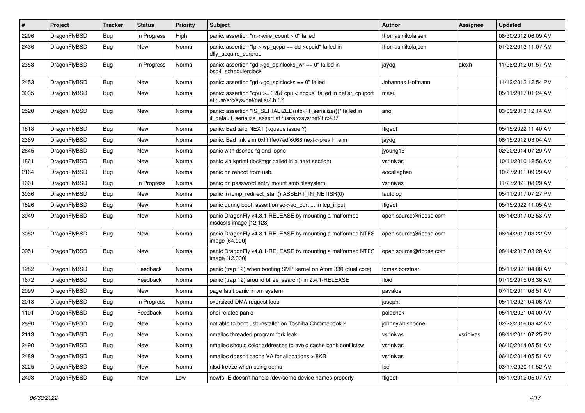| #    | Project      | <b>Tracker</b> | <b>Status</b> | <b>Priority</b> | <b>Subject</b>                                                                                                               | <b>Author</b>          | <b>Assignee</b> | <b>Updated</b>      |
|------|--------------|----------------|---------------|-----------------|------------------------------------------------------------------------------------------------------------------------------|------------------------|-----------------|---------------------|
| 2296 | DragonFlyBSD | <b>Bug</b>     | In Progress   | High            | panic: assertion "m->wire count > 0" failed                                                                                  | thomas.nikolajsen      |                 | 08/30/2012 06:09 AM |
| 2436 | DragonFlyBSD | <b>Bug</b>     | New           | Normal          | panic: assertion "lp->lwp_qcpu == dd->cpuid" failed in<br>dfly_acquire_curproc                                               | thomas.nikolajsen      |                 | 01/23/2013 11:07 AM |
| 2353 | DragonFlyBSD | Bug            | In Progress   | Normal          | panic: assertion "gd->gd_spinlocks_wr == 0" failed in<br>bsd4_schedulerclock                                                 | jaydg                  | alexh           | 11/28/2012 01:57 AM |
| 2453 | DragonFlyBSD | Bug            | New           | Normal          | panic: assertion "gd->gd_spinlocks == 0" failed                                                                              | Johannes.Hofmann       |                 | 11/12/2012 12:54 PM |
| 3035 | DragonFlyBSD | <b>Bug</b>     | New           | Normal          | panic: assertion "cpu >= 0 && cpu < ncpus" failed in netisr_cpuport<br>at /usr/src/sys/net/netisr2.h:87                      | masu                   |                 | 05/11/2017 01:24 AM |
| 2520 | DragonFlyBSD | Bug            | New           | Normal          | panic: assertion "IS_SERIALIZED((ifp->if_serializer))" failed in<br>if default serialize assert at /usr/src/sys/net/if.c:437 | ano                    |                 | 03/09/2013 12:14 AM |
| 1818 | DragonFlyBSD | <b>Bug</b>     | New           | Normal          | panic: Bad tailq NEXT (kqueue issue ?)                                                                                       | ftigeot                |                 | 05/15/2022 11:40 AM |
| 2369 | DragonFlyBSD | Bug            | New           | Normal          | panic: Bad link elm 0xffffffe07edf6068 next->prev != elm                                                                     | jaydg                  |                 | 08/15/2012 03:04 AM |
| 2645 | DragonFlyBSD | Bug            | New           | Normal          | panic with dsched fq and ioprio                                                                                              | jyoung15               |                 | 02/20/2014 07:29 AM |
| 1861 | DragonFlyBSD | Bug            | New           | Normal          | panic via kprintf (lockmgr called in a hard section)                                                                         | vsrinivas              |                 | 10/11/2010 12:56 AM |
| 2164 | DragonFlyBSD | Bug            | <b>New</b>    | Normal          | panic on reboot from usb.                                                                                                    | eocallaghan            |                 | 10/27/2011 09:29 AM |
| 1661 | DragonFlyBSD | Bug            | In Progress   | Normal          | panic on password entry mount smb filesystem                                                                                 | vsrinivas              |                 | 11/27/2021 08:29 AM |
| 3036 | DragonFlyBSD | Bug            | New           | Normal          | panic in icmp_redirect_start() ASSERT_IN_NETISR(0)                                                                           | tautolog               |                 | 05/11/2017 07:27 PM |
| 1826 | DragonFlyBSD | Bug            | <b>New</b>    | Normal          | panic during boot: assertion so->so_port  in tcp_input                                                                       | ftigeot                |                 | 05/15/2022 11:05 AM |
| 3049 | DragonFlyBSD | Bug            | New           | Normal          | panic DragonFly v4.8.1-RELEASE by mounting a malformed<br>msdosfs image [12.128]                                             | open.source@ribose.com |                 | 08/14/2017 02:53 AM |
| 3052 | DragonFlyBSD | <b>Bug</b>     | New           | Normal          | panic DragonFly v4.8.1-RELEASE by mounting a malformed NTFS<br>image [64.000]                                                | open.source@ribose.com |                 | 08/14/2017 03:22 AM |
| 3051 | DragonFlyBSD | Bug            | New           | Normal          | panic DragonFly v4.8.1-RELEASE by mounting a malformed NTFS<br>image [12.000]                                                | open.source@ribose.com |                 | 08/14/2017 03:20 AM |
| 1282 | DragonFlyBSD | Bug            | Feedback      | Normal          | panic (trap 12) when booting SMP kernel on Atom 330 (dual core)                                                              | tomaz.borstnar         |                 | 05/11/2021 04:00 AM |
| 1672 | DragonFlyBSD | Bug            | Feedback      | Normal          | panic (trap 12) around btree_search() in 2.4.1-RELEASE                                                                       | floid                  |                 | 01/19/2015 03:36 AM |
| 2099 | DragonFlyBSD | Bug            | New           | Normal          | page fault panic in vm system                                                                                                | pavalos                |                 | 07/10/2011 08:51 AM |
| 2013 | DragonFlyBSD | <b>Bug</b>     | In Progress   | Normal          | oversized DMA request loop                                                                                                   | josepht                |                 | 05/11/2021 04:06 AM |
| 1101 | DragonFlyBSD | Bug            | Feedback      | Normal          | ohci related panic                                                                                                           | polachok               |                 | 05/11/2021 04:00 AM |
| 2890 | DragonFlyBSD | Bug            | New           | Normal          | not able to boot usb installer on Toshiba Chromebook 2                                                                       | johnnywhishbone        |                 | 02/22/2016 03:42 AM |
| 2113 | DragonFlyBSD | <b>Bug</b>     | New           | Normal          | nmalloc threaded program fork leak                                                                                           | vsrinivas              | vsrinivas       | 08/11/2011 07:25 PM |
| 2490 | DragonFlyBSD | Bug            | New           | Normal          | nmalloc should color addresses to avoid cache bank conflictsw                                                                | vsrinivas              |                 | 06/10/2014 05:51 AM |
| 2489 | DragonFlyBSD | <b>Bug</b>     | <b>New</b>    | Normal          | nmalloc doesn't cache VA for allocations > 8KB                                                                               | vsrinivas              |                 | 06/10/2014 05:51 AM |
| 3225 | DragonFlyBSD | Bug            | <b>New</b>    | Normal          | nfsd freeze when using qemu                                                                                                  | tse                    |                 | 03/17/2020 11:52 AM |
| 2403 | DragonFlyBSD | <b>Bug</b>     | New           | Low             | newfs -E doesn't handle /dev/serno device names properly                                                                     | ftigeot                |                 | 08/17/2012 05:07 AM |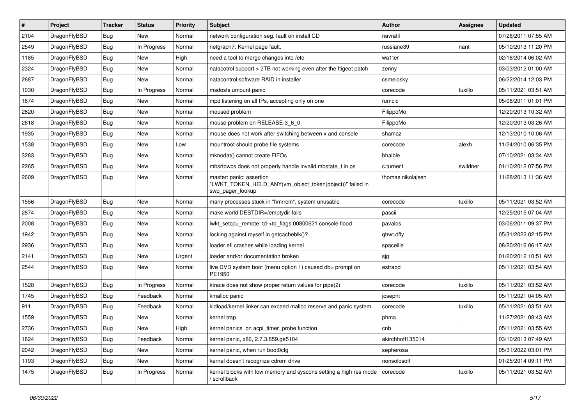| $\sharp$ | Project      | <b>Tracker</b> | <b>Status</b> | <b>Priority</b> | Subject                                                                                                  | <b>Author</b>     | Assignee | <b>Updated</b>      |
|----------|--------------|----------------|---------------|-----------------|----------------------------------------------------------------------------------------------------------|-------------------|----------|---------------------|
| 2104     | DragonFlyBSD | Bug            | New           | Normal          | network configuration seg. fault on install CD                                                           | navratil          |          | 07/26/2011 07:55 AM |
| 2549     | DragonFlyBSD | Bug            | In Progress   | Normal          | netgraph7: Kernel page fault.                                                                            | russiane39        | nant     | 05/10/2013 11:20 PM |
| 1185     | DragonFlyBSD | <b>Bug</b>     | New           | High            | need a tool to merge changes into /etc                                                                   | wa1ter            |          | 02/18/2014 06:02 AM |
| 2324     | DragonFlyBSD | Bug            | New           | Normal          | natacotrol support > 2TB not working even after the ftigeot patch                                        | zenny             |          | 03/03/2012 01:00 AM |
| 2687     | DragonFlyBSD | Bug            | New           | Normal          | natacontrol software RAID in installer                                                                   | csmelosky         |          | 06/22/2014 12:03 PM |
| 1030     | DragonFlyBSD | Bug            | In Progress   | Normal          | msdosfs umount panic                                                                                     | corecode          | tuxillo  | 05/11/2021 03:51 AM |
| 1874     | DragonFlyBSD | Bug            | <b>New</b>    | Normal          | mpd listening on all IPs, accepting only on one                                                          | rumcic            |          | 05/08/2011 01:01 PM |
| 2620     | DragonFlyBSD | Bug            | New           | Normal          | moused problem                                                                                           | FilippoMo         |          | 12/20/2013 10:32 AM |
| 2618     | DragonFlyBSD | <b>Bug</b>     | <b>New</b>    | Normal          | mouse problem on RELEASE-3_6_0                                                                           | FilippoMo         |          | 12/20/2013 03:26 AM |
| 1935     | DragonFlyBSD | Bug            | <b>New</b>    | Normal          | mouse does not work after switching between x and console                                                | shamaz            |          | 12/13/2010 10:06 AM |
| 1538     | DragonFlyBSD | <b>Bug</b>     | <b>New</b>    | Low             | mountroot should probe file systems                                                                      | corecode          | alexh    | 11/24/2010 06:35 PM |
| 3283     | DragonFlyBSD | Bug            | <b>New</b>    | Normal          | mknodat() cannot create FIFOs                                                                            | bhaible           |          | 07/10/2021 03:34 AM |
| 2265     | DragonFlyBSD | Bug            | New           | Normal          | mbsrtowcs does not properly handle invalid mbstate_t in ps                                               | c.turner1         | swildner | 01/10/2012 07:56 PM |
| 2609     | DragonFlyBSD | Bug            | New           | Normal          | master: panic: assertion<br>"LWKT_TOKEN_HELD_ANY(vm_object_token(object))" failed in<br>swp_pager_lookup | thomas.nikolajsen |          | 11/28/2013 11:36 AM |
| 1556     | DragonFlyBSD | Bug            | <b>New</b>    | Normal          | many processes stuck in "hmrrcm", system unusable                                                        | corecode          | tuxillo  | 05/11/2021 03:52 AM |
| 2874     | DragonFlyBSD | Bug            | <b>New</b>    | Normal          | make world DESTDIR=/emptydir fails                                                                       | pascii            |          | 12/25/2015 07:04 AM |
| 2008     | DragonFlyBSD | Bug            | New           | Normal          | lwkt_setcpu_remote: td->td_flags 00800621 console flood                                                  | pavalos           |          | 03/06/2011 09:37 PM |
| 1942     | DragonFlyBSD | Bug            | New           | Normal          | locking against myself in getcacheblk()?                                                                 | qhwt.dfly         |          | 05/31/2022 02:15 PM |
| 2936     | DragonFlyBSD | Bug            | New           | Normal          | loader.efi crashes while loading kernel                                                                  | spaceille         |          | 08/20/2016 06:17 AM |
| 2141     | DragonFlyBSD | Bug            | <b>New</b>    | Urgent          | loader and/or documentation broken                                                                       | sjg               |          | 01/20/2012 10:51 AM |
| 2544     | DragonFlyBSD | Bug            | New           | Normal          | live DVD system boot (menu option 1) caused db> prompt on<br>PE1950                                      | estrabd           |          | 05/11/2021 03:54 AM |
| 1528     | DragonFlyBSD | Bug            | In Progress   | Normal          | ktrace does not show proper return values for pipe(2)                                                    | corecode          | tuxillo  | 05/11/2021 03:52 AM |
| 1745     | DragonFlyBSD | Bug            | Feedback      | Normal          | kmalloc panic                                                                                            | josepht           |          | 05/11/2021 04:05 AM |
| 911      | DragonFlyBSD | Bug            | Feedback      | Normal          | kldload/kernel linker can exceed malloc reserve and panic system                                         | corecode          | tuxillo  | 05/11/2021 03:51 AM |
| 1559     | DragonFlyBSD | Bug            | New           | Normal          | kernel trap                                                                                              | phma              |          | 11/27/2021 08:43 AM |
| 2736     | DragonFlyBSD | Bug            | New           | High            | kernel panics on acpi_timer_probe function                                                               | cnb               |          | 05/11/2021 03:55 AM |
| 1824     | DragonFlyBSD | <b>Bug</b>     | Feedback      | Normal          | kernel panic, x86, 2.7.3.859.ge5104                                                                      | akirchhoff135014  |          | 03/10/2013 07:49 AM |
| 2042     | DragonFlyBSD | Bug            | New           | Normal          | kernel panic, when run boot0cfg                                                                          | sepherosa         |          | 05/31/2022 03:01 PM |
| 1193     | DragonFlyBSD | <b>Bug</b>     | New           | Normal          | kernel doesn't recognize cdrom drive                                                                     | nonsolosoft       |          | 01/25/2014 09:11 PM |
| 1475     | DragonFlyBSD | <b>Bug</b>     | In Progress   | Normal          | kernel blocks with low memory and syscons setting a high res mode<br>/ scrollback                        | corecode          | tuxillo  | 05/11/2021 03:52 AM |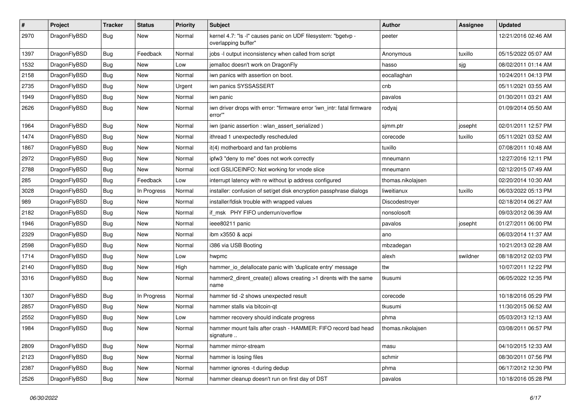| #    | Project      | <b>Tracker</b> | <b>Status</b> | <b>Priority</b> | Subject                                                                              | <b>Author</b>     | <b>Assignee</b> | <b>Updated</b>      |
|------|--------------|----------------|---------------|-----------------|--------------------------------------------------------------------------------------|-------------------|-----------------|---------------------|
| 2970 | DragonFlyBSD | <b>Bug</b>     | New           | Normal          | kernel 4.7: "Is -I" causes panic on UDF filesystem: "bgetvp -<br>overlapping buffer" | peeter            |                 | 12/21/2016 02:46 AM |
| 1397 | DragonFlyBSD | <b>Bug</b>     | Feedback      | Normal          | jobs -I output inconsistency when called from script                                 | Anonymous         | tuxillo         | 05/15/2022 05:07 AM |
| 1532 | DragonFlyBSD | <b>Bug</b>     | <b>New</b>    | Low             | jemalloc doesn't work on DragonFly                                                   | hasso             | sjg             | 08/02/2011 01:14 AM |
| 2158 | DragonFlyBSD | <b>Bug</b>     | New           | Normal          | iwn panics with assertion on boot.                                                   | eocallaghan       |                 | 10/24/2011 04:13 PM |
| 2735 | DragonFlyBSD | <b>Bug</b>     | New           | Urgent          | iwn panics SYSSASSERT                                                                | cnb               |                 | 05/11/2021 03:55 AM |
| 1949 | DragonFlyBSD | <b>Bug</b>     | <b>New</b>    | Normal          | iwn panic                                                                            | pavalos           |                 | 01/30/2011 03:21 AM |
| 2626 | DragonFlyBSD | <b>Bug</b>     | <b>New</b>    | Normal          | iwn driver drops with error: "firmware error 'iwn_intr: fatal firmware<br>error"     | rodyaj            |                 | 01/09/2014 05:50 AM |
| 1964 | DragonFlyBSD | <b>Bug</b>     | <b>New</b>    | Normal          | iwn (panic assertion : wlan_assert_serialized)                                       | sjmm.ptr          | josepht         | 02/01/2011 12:57 PM |
| 1474 | DragonFlyBSD | <b>Bug</b>     | New           | Normal          | ithread 1 unexpectedly rescheduled                                                   | corecode          | tuxillo         | 05/11/2021 03:52 AM |
| 1867 | DragonFlyBSD | <b>Bug</b>     | <b>New</b>    | Normal          | it(4) motherboard and fan problems                                                   | tuxillo           |                 | 07/08/2011 10:48 AM |
| 2972 | DragonFlyBSD | <b>Bug</b>     | New           | Normal          | ipfw3 "deny to me" does not work correctly                                           | mneumann          |                 | 12/27/2016 12:11 PM |
| 2788 | DragonFlyBSD | <b>Bug</b>     | New           | Normal          | ioctl GSLICEINFO: Not working for vnode slice                                        | mneumann          |                 | 02/12/2015 07:49 AM |
| 285  | DragonFlyBSD | <b>Bug</b>     | Feedback      | Low             | interrupt latency with re without ip address configured                              | thomas.nikolajsen |                 | 02/20/2014 10:30 AM |
| 3028 | DragonFlyBSD | <b>Bug</b>     | In Progress   | Normal          | installer: confusion of set/get disk encryption passphrase dialogs                   | liweitianux       | tuxillo         | 06/03/2022 05:13 PM |
| 989  | DragonFlyBSD | <b>Bug</b>     | <b>New</b>    | Normal          | installer/fdisk trouble with wrapped values                                          | Discodestrover    |                 | 02/18/2014 06:27 AM |
| 2182 | DragonFlyBSD | <b>Bug</b>     | <b>New</b>    | Normal          | if msk PHY FIFO underrun/overflow                                                    | nonsolosoft       |                 | 09/03/2012 06:39 AM |
| 1946 | DragonFlyBSD | <b>Bug</b>     | <b>New</b>    | Normal          | ieee80211 panic                                                                      | pavalos           | josepht         | 01/27/2011 06:00 PM |
| 2329 | DragonFlyBSD | <b>Bug</b>     | New           | Normal          | ibm x3550 & acpi                                                                     | ano               |                 | 06/03/2014 11:37 AM |
| 2598 | DragonFlyBSD | Bug            | <b>New</b>    | Normal          | i386 via USB Booting                                                                 | mbzadegan         |                 | 10/21/2013 02:28 AM |
| 1714 | DragonFlyBSD | <b>Bug</b>     | New           | Low             | hwpmc                                                                                | alexh             | swildner        | 08/18/2012 02:03 PM |
| 2140 | DragonFlyBSD | <b>Bug</b>     | New           | High            | hammer_io_delallocate panic with 'duplicate entry' message                           | ttw               |                 | 10/07/2011 12:22 PM |
| 3316 | DragonFlyBSD | Bug            | New           | Normal          | hammer2_dirent_create() allows creating >1 dirents with the same<br>name             | tkusumi           |                 | 06/05/2022 12:35 PM |
| 1307 | DragonFlyBSD | Bug            | In Progress   | Normal          | hammer tid -2 shows unexpected result                                                | corecode          |                 | 10/18/2016 05:29 PM |
| 2857 | DragonFlyBSD | Bug            | <b>New</b>    | Normal          | hammer stalls via bitcoin-qt                                                         | tkusumi           |                 | 11/30/2015 06:52 AM |
| 2552 | DragonFlyBSD | Bug            | New           | Low             | hammer recovery should indicate progress                                             | phma              |                 | 05/03/2013 12:13 AM |
| 1984 | DragonFlyBSD | i Bug          | <b>New</b>    | Normal          | hammer mount fails after crash - HAMMER: FIFO record bad head<br>signature           | thomas.nikolajsen |                 | 03/08/2011 06:57 PM |
| 2809 | DragonFlyBSD | <b>Bug</b>     | New           | Normal          | hammer mirror-stream                                                                 | masu              |                 | 04/10/2015 12:33 AM |
| 2123 | DragonFlyBSD | <b>Bug</b>     | New           | Normal          | hammer is losing files                                                               | schmir            |                 | 08/30/2011 07:56 PM |
| 2387 | DragonFlyBSD | <b>Bug</b>     | <b>New</b>    | Normal          | hammer ignores -t during dedup                                                       | phma              |                 | 06/17/2012 12:30 PM |
| 2526 | DragonFlyBSD | <b>Bug</b>     | New           | Normal          | hammer cleanup doesn't run on first day of DST                                       | pavalos           |                 | 10/18/2016 05:28 PM |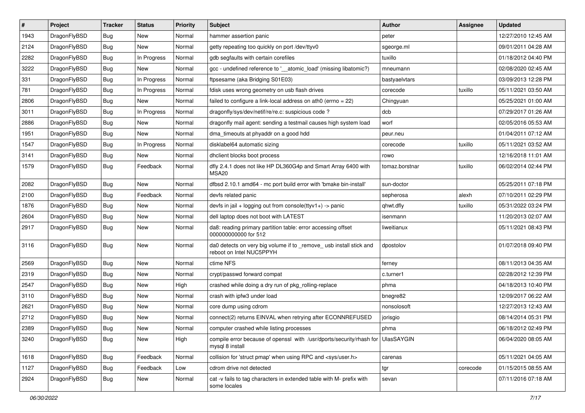| $\pmb{\#}$ | Project      | <b>Tracker</b> | <b>Status</b> | <b>Priority</b> | Subject                                                                                            | <b>Author</b>  | <b>Assignee</b> | <b>Updated</b>      |
|------------|--------------|----------------|---------------|-----------------|----------------------------------------------------------------------------------------------------|----------------|-----------------|---------------------|
| 1943       | DragonFlyBSD | Bug            | <b>New</b>    | Normal          | hammer assertion panic                                                                             | peter          |                 | 12/27/2010 12:45 AM |
| 2124       | DragonFlyBSD | Bug            | <b>New</b>    | Normal          | getty repeating too quickly on port /dev/ttyv0                                                     | sgeorge.ml     |                 | 09/01/2011 04:28 AM |
| 2282       | DragonFlyBSD | Bug            | In Progress   | Normal          | gdb segfaults with certain corefiles                                                               | tuxillo        |                 | 01/18/2012 04:40 PM |
| 3222       | DragonFlyBSD | Bug            | New           | Normal          | gcc - undefined reference to '__atomic_load' (missing libatomic?)                                  | mneumann       |                 | 02/08/2020 02:45 AM |
| 331        | DragonFlyBSD | Bug            | In Progress   | Normal          | ftpsesame (aka Bridging S01E03)                                                                    | bastyaelvtars  |                 | 03/09/2013 12:28 PM |
| 781        | DragonFlyBSD | Bug            | In Progress   | Normal          | fdisk uses wrong geometry on usb flash drives                                                      | corecode       | tuxillo         | 05/11/2021 03:50 AM |
| 2806       | DragonFlyBSD | Bug            | <b>New</b>    | Normal          | failed to configure a link-local address on ath0 (errno = 22)                                      | Chingyuan      |                 | 05/25/2021 01:00 AM |
| 3011       | DragonFlyBSD | Bug            | In Progress   | Normal          | dragonfly/sys/dev/netif/re/re.c: suspicious code?                                                  | dcb            |                 | 07/29/2017 01:26 AM |
| 2886       | DragonFlyBSD | Bug            | <b>New</b>    | Normal          | dragonfly mail agent: sending a testmail causes high system load                                   | worf           |                 | 02/05/2016 05:53 AM |
| 1951       | DragonFlyBSD | Bug            | <b>New</b>    | Normal          | dma_timeouts at phyaddr on a good hdd                                                              | peur.neu       |                 | 01/04/2011 07:12 AM |
| 1547       | DragonFlyBSD | Bug            | In Progress   | Normal          | disklabel64 automatic sizing                                                                       | corecode       | tuxillo         | 05/11/2021 03:52 AM |
| 3141       | DragonFlyBSD | Bug            | New           | Normal          | dhclient blocks boot process                                                                       | rowo           |                 | 12/16/2018 11:01 AM |
| 1579       | DragonFlyBSD | Bug            | Feedback      | Normal          | dfly 2.4.1 does not like HP DL360G4p and Smart Array 6400 with<br>MSA <sub>20</sub>                | tomaz.borstnar | tuxillo         | 06/02/2014 02:44 PM |
| 2082       | DragonFlyBSD | Bug            | <b>New</b>    | Normal          | dfbsd 2.10.1 amd64 - mc port build error with 'bmake bin-install'                                  | sun-doctor     |                 | 05/25/2011 07:18 PM |
| 2100       | DragonFlyBSD | Bug            | Feedback      | Normal          | devfs related panic                                                                                | sepherosa      | alexh           | 07/10/2011 02:29 PM |
| 1876       | DragonFlyBSD | Bug            | New           | Normal          | devfs in jail + logging out from console(ttyv1+) -> panic                                          | qhwt.dfly      | tuxillo         | 05/31/2022 03:24 PM |
| 2604       | DragonFlyBSD | Bug            | <b>New</b>    | Normal          | dell laptop does not boot with LATEST                                                              | isenmann       |                 | 11/20/2013 02:07 AM |
| 2917       | DragonFlyBSD | Bug            | New           | Normal          | da8: reading primary partition table: error accessing offset<br>000000000000 for 512               | liweitianux    |                 | 05/11/2021 08:43 PM |
| 3116       | DragonFlyBSD | Bug            | <b>New</b>    | Normal          | da0 detects on very big volume if to _remove_ usb install stick and<br>reboot on Intel NUC5PPYH    | dpostolov      |                 | 01/07/2018 09:40 PM |
| 2569       | DragonFlyBSD | Bug            | <b>New</b>    | Normal          | ctime NFS                                                                                          | ferney         |                 | 08/11/2013 04:35 AM |
| 2319       | DragonFlyBSD | Bug            | New           | Normal          | crypt/passwd forward compat                                                                        | c.turner1      |                 | 02/28/2012 12:39 PM |
| 2547       | DragonFlyBSD | Bug            | <b>New</b>    | High            | crashed while doing a dry run of pkg_rolling-replace                                               | phma           |                 | 04/18/2013 10:40 PM |
| 3110       | DragonFlyBSD | Bug            | <b>New</b>    | Normal          | crash with ipfw3 under load                                                                        | bnegre82       |                 | 12/09/2017 06:22 AM |
| 2621       | DragonFlyBSD | Bug            | New           | Normal          | core dump using cdrom                                                                              | nonsolosoft    |                 | 12/27/2013 12:43 AM |
| 2712       | DragonFlyBSD | Bug            | <b>New</b>    | Normal          | connect(2) returns EINVAL when retrying after ECONNREFUSED                                         | jorisgio       |                 | 08/14/2014 05:31 PM |
| 2389       | DragonFlyBSD | Bug            | New           | Normal          | computer crashed while listing processes                                                           | phma           |                 | 06/18/2012 02:49 PM |
| 3240       | DragonFlyBSD | Bug            | New           | High            | compile error because of openssl with /usr/dports/security/rhash for UlasSAYGIN<br>mysql 8 install |                |                 | 06/04/2020 08:05 AM |
| 1618       | DragonFlyBSD | Bug            | Feedback      | Normal          | collision for 'struct pmap' when using RPC and <sys user.h=""></sys>                               | carenas        |                 | 05/11/2021 04:05 AM |
| 1127       | DragonFlyBSD | Bug            | Feedback      | Low             | cdrom drive not detected                                                                           | tgr            | corecode        | 01/15/2015 08:55 AM |
| 2924       | DragonFlyBSD | <b>Bug</b>     | New           | Normal          | cat -v fails to tag characters in extended table with M- prefix with<br>some locales               | sevan          |                 | 07/11/2016 07:18 AM |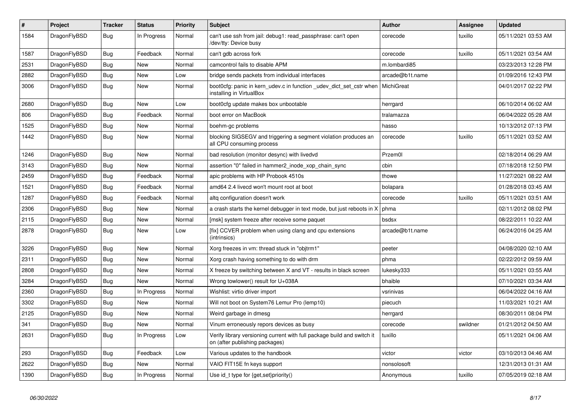| $\vert$ # | Project      | <b>Tracker</b> | <b>Status</b> | <b>Priority</b> | <b>Subject</b>                                                                                            | <b>Author</b>   | Assignee | <b>Updated</b>      |
|-----------|--------------|----------------|---------------|-----------------|-----------------------------------------------------------------------------------------------------------|-----------------|----------|---------------------|
| 1584      | DragonFlyBSD | Bug            | In Progress   | Normal          | can't use ssh from jail: debug1: read passphrase: can't open<br>dev/tty: Device busy/                     | corecode        | tuxillo  | 05/11/2021 03:53 AM |
| 1587      | DragonFlyBSD | <b>Bug</b>     | Feedback      | Normal          | can't gdb across fork                                                                                     | corecode        | tuxillo  | 05/11/2021 03:54 AM |
| 2531      | DragonFlyBSD | Bug            | <b>New</b>    | Normal          | camcontrol fails to disable APM                                                                           | m.lombardi85    |          | 03/23/2013 12:28 PM |
| 2882      | DragonFlyBSD | <b>Bug</b>     | <b>New</b>    | Low             | bridge sends packets from individual interfaces                                                           | arcade@b1t.name |          | 01/09/2016 12:43 PM |
| 3006      | DragonFlyBSD | <b>Bug</b>     | New           | Normal          | boot0cfg: panic in kern udev.c in function udev dict set cstr when<br>installing in VirtualBox            | MichiGreat      |          | 04/01/2017 02:22 PM |
| 2680      | DragonFlyBSD | Bug            | <b>New</b>    | Low             | boot0cfg update makes box unbootable                                                                      | herrgard        |          | 06/10/2014 06:02 AM |
| 806       | DragonFlyBSD | Bug            | Feedback      | Normal          | boot error on MacBook                                                                                     | tralamazza      |          | 06/04/2022 05:28 AM |
| 1525      | DragonFlyBSD | <b>Bug</b>     | <b>New</b>    | Normal          | boehm-gc problems                                                                                         | hasso           |          | 10/13/2012 07:13 PM |
| 1442      | DragonFlyBSD | <b>Bug</b>     | <b>New</b>    | Normal          | blocking SIGSEGV and triggering a segment violation produces an<br>all CPU consuming process              | corecode        | tuxillo  | 05/11/2021 03:52 AM |
| 1246      | DragonFlyBSD | <b>Bug</b>     | New           | Normal          | bad resolution (monitor desync) with livedvd                                                              | Przem0l         |          | 02/18/2014 06:29 AM |
| 3143      | DragonFlyBSD | <b>Bug</b>     | New           | Normal          | assertion "0" failed in hammer2 inode xop chain sync                                                      | cbin            |          | 07/18/2018 12:50 PM |
| 2459      | DragonFlyBSD | <b>Bug</b>     | Feedback      | Normal          | apic problems with HP Probook 4510s                                                                       | thowe           |          | 11/27/2021 08:22 AM |
| 1521      | DragonFlyBSD | Bug            | Feedback      | Normal          | amd64 2.4 livecd won't mount root at boot                                                                 | bolapara        |          | 01/28/2018 03:45 AM |
| 1287      | DragonFlyBSD | <b>Bug</b>     | Feedback      | Normal          | altg configuration doesn't work                                                                           | corecode        | tuxillo  | 05/11/2021 03:51 AM |
| 2306      | DragonFlyBSD | Bug            | New           | Normal          | a crash starts the kernel debugger in text mode, but just reboots in X                                    | phma            |          | 02/11/2012 08:02 PM |
| 2115      | DragonFlyBSD | <b>Bug</b>     | <b>New</b>    | Normal          | [msk] system freeze after receive some paquet                                                             | bsdsx           |          | 08/22/2011 10:22 AM |
| 2878      | DragonFlyBSD | <b>Bug</b>     | <b>New</b>    | Low             | [fix] CCVER problem when using clang and cpu extensions<br>(intrinsics)                                   | arcade@b1t.name |          | 06/24/2016 04:25 AM |
| 3226      | DragonFlyBSD | Bug            | New           | Normal          | Xorg freezes in vm: thread stuck in "objtrm1"                                                             | peeter          |          | 04/08/2020 02:10 AM |
| 2311      | DragonFlyBSD | <b>Bug</b>     | New           | Normal          | Xorg crash having something to do with drm                                                                | phma            |          | 02/22/2012 09:59 AM |
| 2808      | DragonFlyBSD | Bug            | New           | Normal          | X freeze by switching between X and VT - results in black screen                                          | lukesky333      |          | 05/11/2021 03:55 AM |
| 3284      | DragonFlyBSD | Bug            | New           | Normal          | Wrong towlower() result for U+038A                                                                        | bhaible         |          | 07/10/2021 03:34 AM |
| 2360      | DragonFlyBSD | <b>Bug</b>     | In Progress   | Normal          | Wishlist: virtio driver import                                                                            | vsrinivas       |          | 06/04/2022 04:16 AM |
| 3302      | DragonFlyBSD | <b>Bug</b>     | New           | Normal          | Will not boot on System76 Lemur Pro (lemp10)                                                              | piecuch         |          | 11/03/2021 10:21 AM |
| 2125      | DragonFlyBSD | Bug            | New           | Normal          | Weird garbage in dmesg                                                                                    | herrgard        |          | 08/30/2011 08:04 PM |
| 341       | DragonFlyBSD | Bug            | New           | Normal          | Vinum erroneously repors devices as busy                                                                  | corecode        | swildner | 01/21/2012 04:50 AM |
| 2631      | DragonFlyBSD | <b>Bug</b>     | In Progress   | Low             | Verify library versioning current with full package build and switch it<br>on (after publishing packages) | tuxillo         |          | 05/11/2021 04:06 AM |
| 293       | DragonFlyBSD | Bug            | Feedback      | Low             | Various updates to the handbook                                                                           | victor          | victor   | 03/10/2013 04:46 AM |
| 2622      | DragonFlyBSD | Bug            | <b>New</b>    | Normal          | VAIO FIT15E fn keys support                                                                               | nonsolosoft     |          | 12/31/2013 01:31 AM |
| 1390      | DragonFlyBSD | Bug            | In Progress   | Normal          | Use id t type for {get, set}priority()                                                                    | Anonymous       | tuxillo  | 07/05/2019 02:18 AM |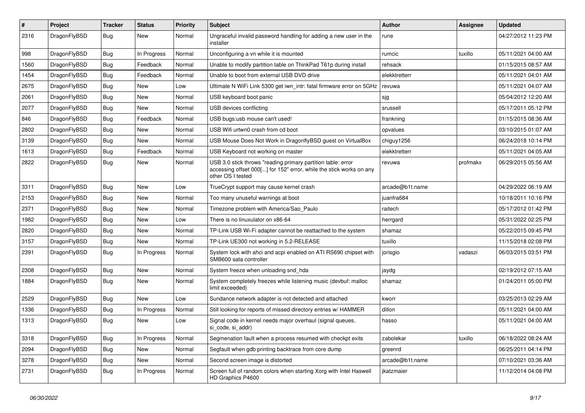| #    | Project      | <b>Tracker</b> | <b>Status</b> | <b>Priority</b> | Subject                                                                                                                                                  | Author          | <b>Assignee</b> | <b>Updated</b>      |
|------|--------------|----------------|---------------|-----------------|----------------------------------------------------------------------------------------------------------------------------------------------------------|-----------------|-----------------|---------------------|
| 2316 | DragonFlyBSD | Bug            | New           | Normal          | Ungraceful invalid password handling for adding a new user in the<br>installer                                                                           | rune            |                 | 04/27/2012 11:23 PM |
| 998  | DragonFlyBSD | Bug            | In Progress   | Normal          | Unconfiguring a vn while it is mounted                                                                                                                   | rumcic          | tuxillo         | 05/11/2021 04:00 AM |
| 1560 | DragonFlyBSD | Bug            | Feedback      | Normal          | Unable to modify partition table on ThinkPad T61p during install                                                                                         | rehsack         |                 | 01/15/2015 08:57 AM |
| 1454 | DragonFlyBSD | <b>Bug</b>     | Feedback      | Normal          | Unable to boot from external USB DVD drive                                                                                                               | elekktretterr   |                 | 05/11/2021 04:01 AM |
| 2675 | DragonFlyBSD | <b>Bug</b>     | New           | Low             | Ultimate N WiFi Link 5300 get iwn_intr: fatal firmware error on 5GHz                                                                                     | revuwa          |                 | 05/11/2021 04:07 AM |
| 2061 | DragonFlyBSD | Bug            | <b>New</b>    | Normal          | USB keyboard boot panic                                                                                                                                  | sjg             |                 | 05/04/2012 12:20 AM |
| 2077 | DragonFlyBSD | <b>Bug</b>     | New           | Normal          | USB devices conflicting                                                                                                                                  | srussell        |                 | 05/17/2011 05:12 PM |
| 846  | DragonFlyBSD | Bug            | Feedback      | Normal          | USB bugs:usb mouse can't used!                                                                                                                           | frankning       |                 | 01/15/2015 08:36 AM |
| 2802 | DragonFlyBSD | <b>Bug</b>     | New           | Normal          | USB Wifi urtwn0 crash from cd boot                                                                                                                       | opvalues        |                 | 03/10/2015 01:07 AM |
| 3139 | DragonFlyBSD | Bug            | New           | Normal          | USB Mouse Does Not Work in DragonflyBSD guest on VirtualBox                                                                                              | chiguy1256      |                 | 06/24/2018 10:14 PM |
| 1613 | DragonFlyBSD | Bug            | Feedback      | Normal          | USB Keyboard not working on master                                                                                                                       | elekktretterr   |                 | 05/11/2021 04:05 AM |
| 2822 | DragonFlyBSD | Bug            | New           | Normal          | USB 3.0 stick throws "reading primary partition table: error<br>accessing offset 000[] for 152" error, while the stick works on any<br>other OS I tested | revuwa          | profmakx        | 06/29/2015 05:56 AM |
| 3311 | DragonFlyBSD | Bug            | New           | Low             | TrueCrypt support may cause kernel crash                                                                                                                 | arcade@b1t.name |                 | 04/29/2022 06:19 AM |
| 2153 | DragonFlyBSD | Bug            | <b>New</b>    | Normal          | Too many unuseful warnings at boot                                                                                                                       | juanfra684      |                 | 10/18/2011 10:16 PM |
| 2371 | DragonFlyBSD | <b>Bug</b>     | <b>New</b>    | Normal          | Timezone problem with America/Sao Paulo                                                                                                                  | raitech         |                 | 05/17/2012 01:42 PM |
| 1982 | DragonFlyBSD | Bug            | <b>New</b>    | Low             | There is no linuxulator on x86-64                                                                                                                        | herrgard        |                 | 05/31/2022 02:25 PM |
| 2820 | DragonFlyBSD | Bug            | New           | Normal          | TP-Link USB Wi-Fi adapter cannot be reattached to the system                                                                                             | shamaz          |                 | 05/22/2015 09:45 PM |
| 3157 | DragonFlyBSD | <b>Bug</b>     | New           | Normal          | TP-Link UE300 not working in 5.2-RELEASE                                                                                                                 | tuxillo         |                 | 11/15/2018 02:08 PM |
| 2391 | DragonFlyBSD | Bug            | In Progress   | Normal          | System lock with ahci and acpi enabled on ATI RS690 chipset with<br>SMB600 sata controller                                                               | jorisgio        | vadaszi         | 06/03/2015 03:51 PM |
| 2308 | DragonFlyBSD | Bug            | New           | Normal          | System freeze when unloading snd_hda                                                                                                                     | jaydg           |                 | 02/19/2012 07:15 AM |
| 1884 | DragonFlyBSD | Bug            | New           | Normal          | System completely freezes while listening music (devbuf: malloc<br>limit exceeded)                                                                       | shamaz          |                 | 01/24/2011 05:00 PM |
| 2529 | DragonFlyBSD | <b>Bug</b>     | New           | Low             | Sundance network adapter is not detected and attached                                                                                                    | kworr           |                 | 03/25/2013 02:29 AM |
| 1336 | DragonFlyBSD | Bug            | In Progress   | Normal          | Still looking for reports of missed directory entries w/ HAMMER                                                                                          | dillon          |                 | 05/11/2021 04:00 AM |
| 1313 | DragonFlyBSD | Bug            | New           | Low             | Signal code in kernel needs major overhaul (signal queues,<br>si_code, si_addr)                                                                          | hasso           |                 | 05/11/2021 04:00 AM |
| 3318 | DragonFlyBSD | Bug            | In Progress   | Normal          | Segmenation fault when a process resumed with checkpt exits                                                                                              | zabolekar       | tuxillo         | 06/18/2022 08:24 AM |
| 2094 | DragonFlyBSD | <b>Bug</b>     | New           | Normal          | Segfault when gdb printing backtrace from core dump                                                                                                      | greenrd         |                 | 06/25/2011 04:14 PM |
| 3278 | DragonFlyBSD | <b>Bug</b>     | New           | Normal          | Second screen image is distorted                                                                                                                         | arcade@b1t.name |                 | 07/10/2021 03:36 AM |
| 2731 | DragonFlyBSD | <b>Bug</b>     | In Progress   | Normal          | Screen full of random colors when starting Xorg with Intel Haswell<br>HD Graphics P4600                                                                  | jkatzmaier      |                 | 11/12/2014 04:08 PM |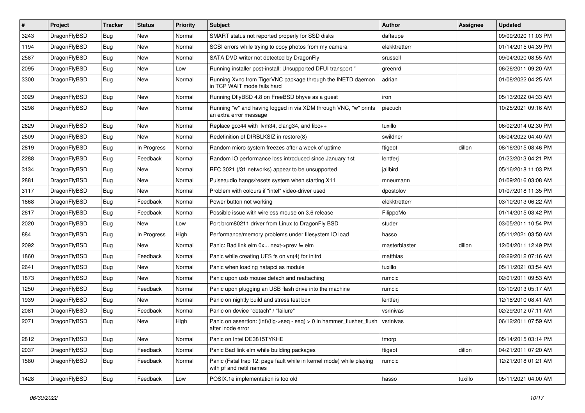| $\vert$ # | Project      | <b>Tracker</b> | <b>Status</b> | <b>Priority</b> | Subject                                                                                         | Author        | Assignee | <b>Updated</b>      |
|-----------|--------------|----------------|---------------|-----------------|-------------------------------------------------------------------------------------------------|---------------|----------|---------------------|
| 3243      | DragonFlyBSD | Bug            | <b>New</b>    | Normal          | SMART status not reported properly for SSD disks                                                | daftaupe      |          | 09/09/2020 11:03 PM |
| 1194      | DragonFlyBSD | Bug            | <b>New</b>    | Normal          | SCSI errors while trying to copy photos from my camera                                          | elekktretterr |          | 01/14/2015 04:39 PM |
| 2587      | DragonFlyBSD | <b>Bug</b>     | <b>New</b>    | Normal          | SATA DVD writer not detected by DragonFly                                                       | srussell      |          | 09/04/2020 08:55 AM |
| 2095      | DragonFlyBSD | Bug            | <b>New</b>    | Low             | Running installer post-install: Unsupported DFUI transport "                                    | greenrd       |          | 06/26/2011 09:20 AM |
| 3300      | DragonFlyBSD | Bug            | <b>New</b>    | Normal          | Running Xvnc from TigerVNC package through the INETD daemon<br>in TCP WAIT mode fails hard      | adrian        |          | 01/08/2022 04:25 AM |
| 3029      | DragonFlyBSD | Bug            | New           | Normal          | Running DflyBSD 4.8 on FreeBSD bhyve as a guest                                                 | iron          |          | 05/13/2022 04:33 AM |
| 3298      | DragonFlyBSD | Bug            | New           | Normal          | Running "w" and having logged in via XDM through VNC, "w" prints<br>an extra error message      | piecuch       |          | 10/25/2021 09:16 AM |
| 2629      | DragonFlyBSD | Bug            | <b>New</b>    | Normal          | Replace gcc44 with llvm34, clang34, and libc++                                                  | tuxillo       |          | 06/02/2014 02:30 PM |
| 2509      | DragonFlyBSD | <b>Bug</b>     | <b>New</b>    | Normal          | Redefinition of DIRBLKSIZ in restore(8)                                                         | swildner      |          | 06/04/2022 04:40 AM |
| 2819      | DragonFlyBSD | Bug            | In Progress   | Normal          | Random micro system freezes after a week of uptime                                              | ftigeot       | dillon   | 08/16/2015 08:46 PM |
| 2288      | DragonFlyBSD | Bug            | Feedback      | Normal          | Random IO performance loss introduced since January 1st                                         | lentferj      |          | 01/23/2013 04:21 PM |
| 3134      | DragonFlyBSD | <b>Bug</b>     | New           | Normal          | RFC 3021 (/31 networks) appear to be unsupported                                                | jailbird      |          | 05/16/2018 11:03 PM |
| 2881      | DragonFlyBSD | Bug            | <b>New</b>    | Normal          | Pulseaudio hangs/resets system when starting X11                                                | mneumann      |          | 01/09/2016 03:08 AM |
| 3117      | DragonFlyBSD | <b>Bug</b>     | New           | Normal          | Problem with colours if "intel" video-driver used                                               | dpostolov     |          | 01/07/2018 11:35 PM |
| 1668      | DragonFlyBSD | Bug            | Feedback      | Normal          | Power button not working                                                                        | elekktretterr |          | 03/10/2013 06:22 AM |
| 2617      | DragonFlyBSD | Bug            | Feedback      | Normal          | Possible issue with wireless mouse on 3.6 release                                               | FilippoMo     |          | 01/14/2015 03:42 PM |
| 2020      | DragonFlyBSD | <b>Bug</b>     | New           | Low             | Port brcm80211 driver from Linux to DragonFly BSD                                               | studer        |          | 03/05/2011 10:54 PM |
| 884       | DragonFlyBSD | Bug            | In Progress   | High            | Performance/memory problems under filesystem IO load                                            | hasso         |          | 05/11/2021 03:50 AM |
| 2092      | DragonFlyBSD | <b>Bug</b>     | <b>New</b>    | Normal          | Panic: Bad link elm 0x next->prev != elm                                                        | masterblaster | dillon   | 12/04/2011 12:49 PM |
| 1860      | DragonFlyBSD | <b>Bug</b>     | Feedback      | Normal          | Panic while creating UFS fs on vn(4) for initrd                                                 | matthias      |          | 02/29/2012 07:16 AM |
| 2641      | DragonFlyBSD | Bug            | <b>New</b>    | Normal          | Panic when loading natapci as module                                                            | tuxillo       |          | 05/11/2021 03:54 AM |
| 1873      | DragonFlyBSD | Bug            | New           | Normal          | Panic upon usb mouse detach and reattaching                                                     | rumcic        |          | 02/01/2011 09:53 AM |
| 1250      | DragonFlyBSD | Bug            | Feedback      | Normal          | Panic upon plugging an USB flash drive into the machine                                         | rumcic        |          | 03/10/2013 05:17 AM |
| 1939      | DragonFlyBSD | <b>Bug</b>     | New           | Normal          | Panic on nightly build and stress test box                                                      | lentferj      |          | 12/18/2010 08:41 AM |
| 2081      | DragonFlyBSD | Bug            | Feedback      | Normal          | Panic on device "detach" / "failure"                                                            | vsrinivas     |          | 02/29/2012 07:11 AM |
| 2071      | DragonFlyBSD | Bug            | New           | High            | Panic on assertion: $(int)(flag->seq - seq) > 0$ in hammer flusher flush<br>after inode error   | vsrinivas     |          | 06/12/2011 07:59 AM |
| 2812      | DragonFlyBSD | Bug            | New           | Normal          | Panic on Intel DE3815TYKHE                                                                      | tmorp         |          | 05/14/2015 03:14 PM |
| 2037      | DragonFlyBSD | <b>Bug</b>     | Feedback      | Normal          | Panic Bad link elm while building packages                                                      | ftigeot       | dillon   | 04/21/2011 07:20 AM |
| 1580      | DragonFlyBSD | <b>Bug</b>     | Feedback      | Normal          | Panic (Fatal trap 12: page fault while in kernel mode) while playing<br>with pf and netif names | rumcic        |          | 12/21/2018 01:21 AM |
| 1428      | DragonFlyBSD | <b>Bug</b>     | Feedback      | Low             | POSIX.1e implementation is too old                                                              | hasso         | tuxillo  | 05/11/2021 04:00 AM |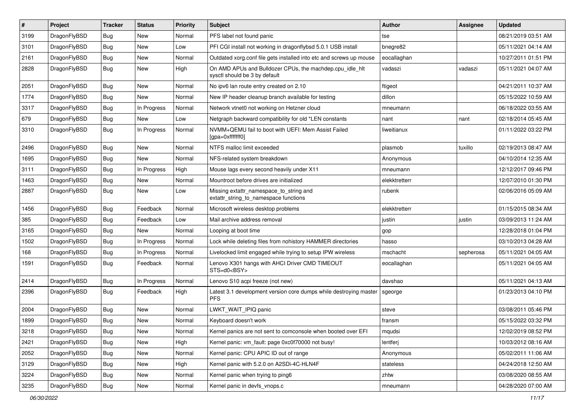| $\sharp$ | Project      | <b>Tracker</b> | <b>Status</b> | <b>Priority</b> | Subject                                                                                   | <b>Author</b> | Assignee  | <b>Updated</b>      |
|----------|--------------|----------------|---------------|-----------------|-------------------------------------------------------------------------------------------|---------------|-----------|---------------------|
| 3199     | DragonFlyBSD | Bug            | <b>New</b>    | Normal          | PFS label not found panic                                                                 | tse           |           | 08/21/2019 03:51 AM |
| 3101     | DragonFlyBSD | Bug            | New           | Low             | PFI CGI install not working in dragonflybsd 5.0.1 USB install                             | bnegre82      |           | 05/11/2021 04:14 AM |
| 2161     | DragonFlyBSD | Bug            | New           | Normal          | Outdated xorg.conf file gets installed into etc and screws up mouse                       | eocallaghan   |           | 10/27/2011 01:51 PM |
| 2828     | DragonFlyBSD | Bug            | <b>New</b>    | High            | On AMD APUs and Bulldozer CPUs, the machdep.cpu_idle_hlt<br>sysctl should be 3 by default | vadaszi       | vadaszi   | 05/11/2021 04:07 AM |
| 2051     | DragonFlyBSD | Bug            | New           | Normal          | No ipv6 lan route entry created on 2.10                                                   | ftigeot       |           | 04/21/2011 10:37 AM |
| 1774     | DragonFlyBSD | Bug            | New           | Normal          | New IP header cleanup branch available for testing                                        | dillon        |           | 05/15/2022 10:59 AM |
| 3317     | DragonFlyBSD | Bug            | In Progress   | Normal          | Network vtnet0 not working on Hetzner cloud                                               | mneumann      |           | 06/18/2022 03:55 AM |
| 679      | DragonFlyBSD | Bug            | <b>New</b>    | Low             | Netgraph backward compatibility for old *LEN constants                                    | nant          | nant      | 02/18/2014 05:45 AM |
| 3310     | DragonFlyBSD | Bug            | In Progress   | Normal          | NVMM+QEMU fail to boot with UEFI: Mem Assist Failed<br>[gpa=0xfffffff0]                   | liweitianux   |           | 01/11/2022 03:22 PM |
| 2496     | DragonFlyBSD | Bug            | <b>New</b>    | Normal          | NTFS malloc limit exceeded                                                                | plasmob       | tuxillo   | 02/19/2013 08:47 AM |
| 1695     | DragonFlyBSD | Bug            | New           | Normal          | NFS-related system breakdown                                                              | Anonymous     |           | 04/10/2014 12:35 AM |
| 3111     | DragonFlyBSD | Bug            | In Progress   | High            | Mouse lags every second heavily under X11                                                 | mneumann      |           | 12/12/2017 09:46 PM |
| 1463     | DragonFlyBSD | Bug            | New           | Normal          | Mountroot before drives are initialized                                                   | elekktretterr |           | 12/07/2010 01:30 PM |
| 2887     | DragonFlyBSD | Bug            | New           | Low             | Missing extattr_namespace_to_string and<br>extattr_string_to_namespace functions          | rubenk        |           | 02/06/2016 05:09 AM |
| 1456     | DragonFlyBSD | Bug            | Feedback      | Normal          | Microsoft wireless desktop problems                                                       | elekktretterr |           | 01/15/2015 08:34 AM |
| 385      | DragonFlyBSD | <b>Bug</b>     | Feedback      | Low             | Mail archive address removal                                                              | justin        | justin    | 03/09/2013 11:24 AM |
| 3165     | DragonFlyBSD | <b>Bug</b>     | <b>New</b>    | Normal          | Looping at boot time                                                                      | gop           |           | 12/28/2018 01:04 PM |
| 1502     | DragonFlyBSD | <b>Bug</b>     | In Progress   | Normal          | Lock while deleting files from nohistory HAMMER directories                               | hasso         |           | 03/10/2013 04:28 AM |
| 168      | DragonFlyBSD | <b>Bug</b>     | In Progress   | Normal          | Livelocked limit engaged while trying to setup IPW wireless                               | mschacht      | sepherosa | 05/11/2021 04:05 AM |
| 1591     | DragonFlyBSD | Bug            | Feedback      | Normal          | Lenovo X301 hangs with AHCI Driver CMD TIMEOUT<br>STS=d0 <bsy></bsy>                      | eocallaghan   |           | 05/11/2021 04:05 AM |
| 2414     | DragonFlyBSD | Bug            | In Progress   | Normal          | Lenovo S10 acpi freeze (not new)                                                          | davshao       |           | 05/11/2021 04:13 AM |
| 2396     | DragonFlyBSD | Bug            | Feedback      | High            | Latest 3.1 development version core dumps while destroying master<br><b>PFS</b>           | sgeorge       |           | 01/23/2013 04:10 PM |
| 2004     | DragonFlyBSD | Bug            | <b>New</b>    | Normal          | LWKT_WAIT_IPIQ panic                                                                      | steve         |           | 03/08/2011 05:46 PM |
| 1899     | DragonFlyBSD | <b>Bug</b>     | New           | Normal          | Keyboard doesn't work                                                                     | fransm        |           | 05/15/2022 03:32 PM |
| 3218     | DragonFlyBSD | <b>Bug</b>     | New           | Normal          | Kernel panics are not sent to comconsole when booted over EFI                             | mqudsi        |           | 12/02/2019 08:52 PM |
| 2421     | DragonFlyBSD | <b>Bug</b>     | New           | High            | Kernel panic: vm_fault: page 0xc0f70000 not busy!                                         | lentferj      |           | 10/03/2012 08:16 AM |
| 2052     | DragonFlyBSD | <b>Bug</b>     | New           | Normal          | Kernel panic: CPU APIC ID out of range                                                    | Anonymous     |           | 05/02/2011 11:06 AM |
| 3129     | DragonFlyBSD | <b>Bug</b>     | New           | High            | Kernel panic with 5.2.0 on A2SDi-4C-HLN4F                                                 | stateless     |           | 04/24/2018 12:50 AM |
| 3224     | DragonFlyBSD | <b>Bug</b>     | New           | Normal          | Kernel panic when trying to ping6                                                         | zhtw          |           | 03/08/2020 08:55 AM |
| 3235     | DragonFlyBSD | <b>Bug</b>     | New           | Normal          | Kernel panic in devfs_vnops.c                                                             | mneumann      |           | 04/28/2020 07:00 AM |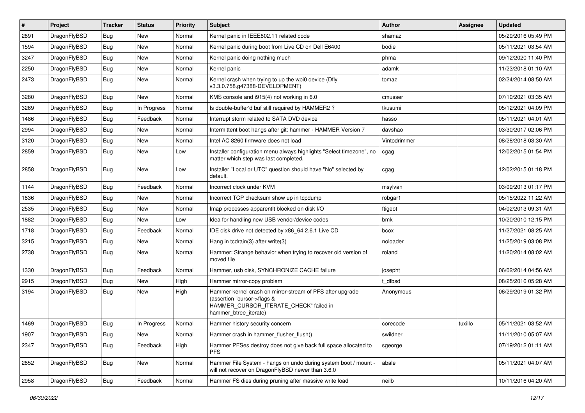| #    | Project      | <b>Tracker</b> | <b>Status</b> | <b>Priority</b> | Subject                                                                                                                                                     | <b>Author</b> | Assignee | <b>Updated</b>      |
|------|--------------|----------------|---------------|-----------------|-------------------------------------------------------------------------------------------------------------------------------------------------------------|---------------|----------|---------------------|
| 2891 | DragonFlyBSD | <b>Bug</b>     | <b>New</b>    | Normal          | Kernel panic in IEEE802.11 related code                                                                                                                     | shamaz        |          | 05/29/2016 05:49 PM |
| 1594 | DragonFlyBSD | <b>Bug</b>     | New           | Normal          | Kernel panic during boot from Live CD on Dell E6400                                                                                                         | bodie         |          | 05/11/2021 03:54 AM |
| 3247 | DragonFlyBSD | <b>Bug</b>     | New           | Normal          | Kernel panic doing nothing much                                                                                                                             | phma          |          | 09/12/2020 11:40 PM |
| 2250 | DragonFlyBSD | <b>Bug</b>     | <b>New</b>    | Normal          | Kernel panic                                                                                                                                                | adamk         |          | 11/23/2018 01:10 AM |
| 2473 | DragonFlyBSD | <b>Bug</b>     | New           | Normal          | Kernel crash when trying to up the wpi0 device (Dfly<br>v3.3.0.758.g47388-DEVELOPMENT)                                                                      | tomaz         |          | 02/24/2014 08:50 AM |
| 3280 | DragonFlyBSD | <b>Bug</b>     | New           | Normal          | KMS console and i915(4) not working in 6.0                                                                                                                  | cmusser       |          | 07/10/2021 03:35 AM |
| 3269 | DragonFlyBSD | Bug            | In Progress   | Normal          | Is double-buffer'd buf still required by HAMMER2?                                                                                                           | tkusumi       |          | 05/12/2021 04:09 PM |
| 1486 | DragonFlyBSD | Bug            | Feedback      | Normal          | Interrupt storm related to SATA DVD device                                                                                                                  | hasso         |          | 05/11/2021 04:01 AM |
| 2994 | DragonFlyBSD | <b>Bug</b>     | New           | Normal          | Intermittent boot hangs after git: hammer - HAMMER Version 7                                                                                                | davshao       |          | 03/30/2017 02:06 PM |
| 3120 | DragonFlyBSD | <b>Bug</b>     | New           | Normal          | Intel AC 8260 firmware does not load                                                                                                                        | Vintodrimmer  |          | 08/28/2018 03:30 AM |
| 2859 | DragonFlyBSD | <b>Bug</b>     | New           | Low             | Installer configuration menu always highlights "Select timezone", no<br>matter which step was last completed.                                               | cgag          |          | 12/02/2015 01:54 PM |
| 2858 | DragonFlyBSD | Bug            | New           | Low             | Installer "Local or UTC" question should have "No" selected by<br>default.                                                                                  | cgag          |          | 12/02/2015 01:18 PM |
| 1144 | DragonFlyBSD | <b>Bug</b>     | Feedback      | Normal          | Incorrect clock under KVM                                                                                                                                   | msylvan       |          | 03/09/2013 01:17 PM |
| 1836 | DragonFlyBSD | <b>Bug</b>     | New           | Normal          | Incorrect TCP checksum show up in tcpdump                                                                                                                   | robgar1       |          | 05/15/2022 11:22 AM |
| 2535 | DragonFlyBSD | <b>Bug</b>     | New           | Normal          | Imap processes apparentlt blocked on disk I/O                                                                                                               | ftigeot       |          | 04/02/2013 09:31 AM |
| 1882 | DragonFlyBSD | <b>Bug</b>     | New           | Low             | Idea for handling new USB vendor/device codes                                                                                                               | bmk           |          | 10/20/2010 12:15 PM |
| 1718 | DragonFlyBSD | Bug            | Feedback      | Normal          | IDE disk drive not detected by x86 64 2.6.1 Live CD                                                                                                         | bcox          |          | 11/27/2021 08:25 AM |
| 3215 | DragonFlyBSD | <b>Bug</b>     | New           | Normal          | Hang in tcdrain(3) after write(3)                                                                                                                           | noloader      |          | 11/25/2019 03:08 PM |
| 2738 | DragonFlyBSD | Bug            | New           | Normal          | Hammer: Strange behavior when trying to recover old version of<br>moved file                                                                                | roland        |          | 11/20/2014 08:02 AM |
| 1330 | DragonFlyBSD | Bug            | Feedback      | Normal          | Hammer, usb disk, SYNCHRONIZE CACHE failure                                                                                                                 | josepht       |          | 06/02/2014 04:56 AM |
| 2915 | DragonFlyBSD | <b>Bug</b>     | New           | High            | Hammer mirror-copy problem                                                                                                                                  | t dfbsd       |          | 08/25/2016 05:28 AM |
| 3194 | DragonFlyBSD | <b>Bug</b>     | New           | High            | Hammer kernel crash on mirror-stream of PFS after upgrade<br>(assertion "cursor->flags &<br>HAMMER CURSOR ITERATE CHECK" failed in<br>hammer_btree_iterate) | Anonymous     |          | 06/29/2019 01:32 PM |
| 1469 | DragonFlyBSD | Bug            | In Progress   | Normal          | Hammer history security concern                                                                                                                             | corecode      | tuxillo  | 05/11/2021 03:52 AM |
| 1907 | DragonFlyBSD | <b>Bug</b>     | New           | Normal          | Hammer crash in hammer_flusher_flush()                                                                                                                      | swildner      |          | 11/11/2010 05:07 AM |
| 2347 | DragonFlyBSD | Bug            | Feedback      | High            | Hammer PFSes destroy does not give back full space allocated to<br><b>PFS</b>                                                                               | sgeorge       |          | 07/19/2012 01:11 AM |
| 2852 | DragonFlyBSD | <b>Bug</b>     | New           | Normal          | Hammer File System - hangs on undo during system boot / mount -<br>will not recover on DragonFlyBSD newer than 3.6.0                                        | abale         |          | 05/11/2021 04:07 AM |
| 2958 | DragonFlyBSD | <b>Bug</b>     | Feedback      | Normal          | Hammer FS dies during pruning after massive write load                                                                                                      | neilb         |          | 10/11/2016 04:20 AM |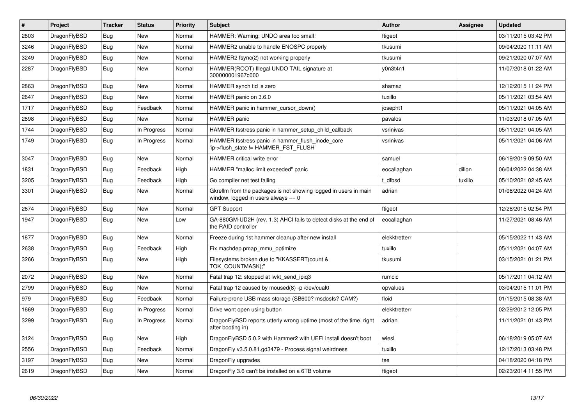| $\vert$ # | <b>Project</b> | <b>Tracker</b> | <b>Status</b> | <b>Priority</b> | <b>Subject</b>                                                                                            | <b>Author</b> | Assignee | <b>Updated</b>      |
|-----------|----------------|----------------|---------------|-----------------|-----------------------------------------------------------------------------------------------------------|---------------|----------|---------------------|
| 2803      | DragonFlyBSD   | <b>Bug</b>     | <b>New</b>    | Normal          | HAMMER: Warning: UNDO area too small!                                                                     | ftigeot       |          | 03/11/2015 03:42 PM |
| 3246      | DragonFlyBSD   | Bug            | <b>New</b>    | Normal          | HAMMER2 unable to handle ENOSPC properly                                                                  | tkusumi       |          | 09/04/2020 11:11 AM |
| 3249      | DragonFlyBSD   | <b>Bug</b>     | <b>New</b>    | Normal          | HAMMER2 fsync(2) not working properly                                                                     | tkusumi       |          | 09/21/2020 07:07 AM |
| 2287      | DragonFlyBSD   | Bug            | <b>New</b>    | Normal          | HAMMER(ROOT) Illegal UNDO TAIL signature at<br>300000001967c000                                           | y0n3t4n1      |          | 11/07/2018 01:22 AM |
| 2863      | DragonFlyBSD   | <b>Bug</b>     | <b>New</b>    | Normal          | HAMMER synch tid is zero                                                                                  | shamaz        |          | 12/12/2015 11:24 PM |
| 2647      | DragonFlyBSD   | <b>Bug</b>     | <b>New</b>    | Normal          | HAMMER panic on 3.6.0                                                                                     | tuxillo       |          | 05/11/2021 03:54 AM |
| 1717      | DragonFlyBSD   | Bug            | Feedback      | Normal          | HAMMER panic in hammer cursor down()                                                                      | josepht1      |          | 05/11/2021 04:05 AM |
| 2898      | DragonFlyBSD   | <b>Bug</b>     | <b>New</b>    | Normal          | <b>HAMMER</b> panic                                                                                       | pavalos       |          | 11/03/2018 07:05 AM |
| 1744      | DragonFlyBSD   | <b>Bug</b>     | In Progress   | Normal          | HAMMER fsstress panic in hammer setup child callback                                                      | vsrinivas     |          | 05/11/2021 04:05 AM |
| 1749      | DragonFlyBSD   | Bug            | In Progress   | Normal          | HAMMER fsstress panic in hammer flush inode core<br>'ip->flush_state != HAMMER_FST_FLUSH'                 | vsrinivas     |          | 05/11/2021 04:06 AM |
| 3047      | DragonFlyBSD   | Bug            | <b>New</b>    | Normal          | <b>HAMMER</b> critical write error                                                                        | samuel        |          | 06/19/2019 09:50 AM |
| 1831      | DragonFlyBSD   | <b>Bug</b>     | Feedback      | High            | HAMMER "malloc limit exceeded" panic                                                                      | eocallaghan   | dillon   | 06/04/2022 04:38 AM |
| 3205      | DragonFlyBSD   | <b>Bug</b>     | Feedback      | High            | Go compiler net test failing                                                                              | t dfbsd       | tuxillo  | 05/10/2021 02:45 AM |
| 3301      | DragonFlyBSD   | <b>Bug</b>     | <b>New</b>    | Normal          | Gkrellm from the packages is not showing logged in users in main<br>window, logged in users always $== 0$ | adrian        |          | 01/08/2022 04:24 AM |
| 2674      | DragonFlyBSD   | <b>Bug</b>     | <b>New</b>    | Normal          | <b>GPT Support</b>                                                                                        | ftigeot       |          | 12/28/2015 02:54 PM |
| 1947      | DragonFlyBSD   | <b>Bug</b>     | <b>New</b>    | Low             | GA-880GM-UD2H (rev. 1.3) AHCI fails to detect disks at the end of<br>the RAID controller                  | eocallaghan   |          | 11/27/2021 08:46 AM |
| 1877      | DragonFlyBSD   | Bug            | <b>New</b>    | Normal          | Freeze during 1st hammer cleanup after new install                                                        | elekktretterr |          | 05/15/2022 11:43 AM |
| 2638      | DragonFlyBSD   | Bug            | Feedback      | High            | Fix machdep.pmap_mmu_optimize                                                                             | tuxillo       |          | 05/11/2021 04:07 AM |
| 3266      | DragonFlyBSD   | <b>Bug</b>     | <b>New</b>    | High            | Filesystems broken due to "KKASSERT(count &<br>TOK COUNTMASK);"                                           | tkusumi       |          | 03/15/2021 01:21 PM |
| 2072      | DragonFlyBSD   | Bug            | <b>New</b>    | Normal          | Fatal trap 12: stopped at lwkt send ipig3                                                                 | rumcic        |          | 05/17/2011 04:12 AM |
| 2799      | DragonFlyBSD   | <b>Bug</b>     | New           | Normal          | Fatal trap 12 caused by moused(8) -p /dev/cual0                                                           | opvalues      |          | 03/04/2015 11:01 PM |
| 979       | DragonFlyBSD   | <b>Bug</b>     | Feedback      | Normal          | Failure-prone USB mass storage (SB600? msdosfs? CAM?)                                                     | floid         |          | 01/15/2015 08:38 AM |
| 1669      | DragonFlyBSD   | <b>Bug</b>     | In Progress   | Normal          | Drive wont open using button                                                                              | elekktretterr |          | 02/29/2012 12:05 PM |
| 3299      | DragonFlyBSD   | <b>Bug</b>     | In Progress   | Normal          | DragonFlyBSD reports utterly wrong uptime (most of the time, right<br>after booting in)                   | adrian        |          | 11/11/2021 01:43 PM |
| 3124      | DragonFlyBSD   | <b>Bug</b>     | <b>New</b>    | High            | DragonFlyBSD 5.0.2 with Hammer2 with UEFI install doesn't boot                                            | wiesl         |          | 06/18/2019 05:07 AM |
| 2556      | DragonFlyBSD   | Bug            | Feedback      | Normal          | DragonFly v3.5.0.81.gd3479 - Process signal weirdness                                                     | tuxillo       |          | 12/17/2013 03:48 PM |
| 3197      | DragonFlyBSD   | <b>Bug</b>     | <b>New</b>    | Normal          | DragonFly upgrades                                                                                        | tse           |          | 04/18/2020 04:18 PM |
| 2619      | DragonFlyBSD   | Bug            | <b>New</b>    | Normal          | Dragon Fly 3.6 can't be installed on a 6TB volume                                                         | ftigeot       |          | 02/23/2014 11:55 PM |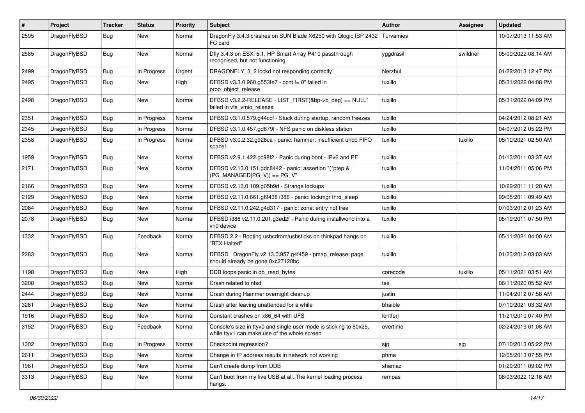| #    | Project      | <b>Tracker</b> | <b>Status</b> | <b>Priority</b> | Subject                                                                                                            | <b>Author</b> | <b>Assignee</b> | <b>Updated</b>      |
|------|--------------|----------------|---------------|-----------------|--------------------------------------------------------------------------------------------------------------------|---------------|-----------------|---------------------|
| 2595 | DragonFlyBSD | Bug            | New           | Normal          | DragonFly 3.4.3 crashes on SUN Blade X6250 with Qlogic ISP 2432   Turvamies<br>FC card                             |               |                 | 10/07/2013 11:53 AM |
| 2585 | DragonFlyBSD | Bug            | New           | Normal          | Dfly 3.4.3 on ESXi 5.1, HP Smart Array P410 passthrough<br>recognised, but not functioning                         | yggdrasil     | swildner        | 05/09/2022 08:14 AM |
| 2499 | DragonFlyBSD | <b>Bug</b>     | In Progress   | Urgent          | DRAGONFLY_3_2 lockd not responding correctly                                                                       | Nerzhul       |                 | 01/22/2013 12:47 PM |
| 2495 | DragonFlyBSD | <b>Bug</b>     | New           | High            | DFBSD v3.3.0.960.g553fe7 - ocnt != 0" failed in<br>prop_object_release                                             | tuxillo       |                 | 05/31/2022 04:08 PM |
| 2498 | DragonFlyBSD | <b>Bug</b>     | New           | Normal          | DFBSD v3.2.2-RELEASE - LIST_FIRST(&bp->b_dep) == NULL"<br>failed in vfs vmio release                               | tuxillo       |                 | 05/31/2022 04:09 PM |
| 2351 | DragonFlyBSD | Bug            | In Progress   | Normal          | DFBSD v3.1.0.579.g44ccf - Stuck during startup, random freezes                                                     | tuxillo       |                 | 04/24/2012 08:21 AM |
| 2345 | DragonFlyBSD | <b>Bug</b>     | In Progress   | Normal          | DFBSD v3.1.0.457.gd679f - NFS panic on diskless station                                                            | tuxillo       |                 | 04/07/2012 05:22 PM |
| 2358 | DragonFlyBSD | Bug            | In Progress   | Normal          | DFBSD v3.0.2.32.g928ca - panic: hammer: insufficient undo FIFO<br>space!                                           | tuxillo       | tuxillo         | 05/10/2021 02:50 AM |
| 1959 | DragonFlyBSD | <b>Bug</b>     | New           | Normal          | DFBSD v2.9.1.422.gc98f2 - Panic during boot - IPv6 and PF                                                          | tuxillo       |                 | 01/13/2011 03:37 AM |
| 2171 | DragonFlyBSD | Bug            | New           | Normal          | DFBSD v2.13.0.151.gdc8442 - panic: assertion "(*ptep &<br>$(PG_MANAGED PG_V)$ == PG_V"                             | tuxillo       |                 | 11/04/2011 05:06 PM |
| 2166 | DragonFlyBSD | <b>Bug</b>     | New           | Normal          | DFBSD v2.13.0.109.g05b9d - Strange lockups                                                                         | tuxillo       |                 | 10/29/2011 11:20 AM |
| 2129 | DragonFlyBSD | Bug            | <b>New</b>    | Normal          | DFBSD v2.11.0.661.gf9438 i386 - panic: lockmgr thrd_sleep                                                          | tuxillo       |                 | 09/05/2011 09:49 AM |
| 2084 | DragonFlyBSD | <b>Bug</b>     | New           | Normal          | DFBSD v2.11.0.242.g4d317 - panic: zone: entry not free                                                             | tuxillo       |                 | 07/03/2012 01:23 AM |
| 2078 | DragonFlyBSD | Bug            | New           | Normal          | DFBSD i386 v2.11.0.201.g3ed2f - Panic during installworld into a<br>vn0 device                                     | tuxillo       |                 | 05/19/2011 07:50 PM |
| 1332 | DragonFlyBSD | Bug            | Feedback      | Normal          | DFBSD 2.2 - Booting usbcdrom/usbsticks on thinkpad hangs on<br>"BTX Halted"                                        | tuxillo       |                 | 05/11/2021 04:00 AM |
| 2283 | DragonFlyBSD | Bug            | New           | Normal          | DFBSD DragonFly v2.13.0.957.g4f459 - pmap_release: page<br>should already be gone 0xc27120bc                       | tuxillo       |                 | 01/23/2012 03:03 AM |
| 1198 | DragonFlyBSD | Bug            | <b>New</b>    | High            | DDB loops panic in db_read_bytes                                                                                   | corecode      | tuxillo         | 05/11/2021 03:51 AM |
| 3208 | DragonFlyBSD | <b>Bug</b>     | New           | Normal          | Crash related to nfsd                                                                                              | tse           |                 | 06/11/2020 05:52 AM |
| 2444 | DragonFlyBSD | Bug            | <b>New</b>    | Normal          | Crash during Hammer overnight cleanup                                                                              | justin        |                 | 11/04/2012 07:58 AM |
| 3281 | DragonFlyBSD | Bug            | <b>New</b>    | Normal          | Crash after leaving unattended for a while                                                                         | bhaible       |                 | 07/10/2021 03:32 AM |
| 1916 | DragonFlyBSD | <b>Bug</b>     | New           | Normal          | Constant crashes on x86_64 with UFS                                                                                | lentferj      |                 | 11/21/2010 07:40 PM |
| 3152 | DragonFlyBSD | <b>Bug</b>     | Feedback      | Normal          | Console's size in ttyv0 and single user mode is sticking to 80x25,<br>while ttyv1 can make use of the whole screen | overtime      |                 | 02/24/2019 01:08 AM |
| 1302 | DragonFlyBSD | <b>Bug</b>     | In Progress   | Normal          | Checkpoint regression?                                                                                             | sjg           | sjg             | 07/10/2013 05:22 PM |
| 2611 | DragonFlyBSD | <b>Bug</b>     | New           | Normal          | Change in IP address results in network not working                                                                | phma          |                 | 12/05/2013 07:55 PM |
| 1961 | DragonFlyBSD | <b>Bug</b>     | New           | Normal          | Can't create dump from DDB                                                                                         | shamaz        |                 | 01/29/2011 09:02 PM |
| 3313 | DragonFlyBSD | <b>Bug</b>     | New           | Normal          | Can't boot from my live USB at all. The kernel loading process<br>hangs.                                           | rempas        |                 | 06/03/2022 12:16 AM |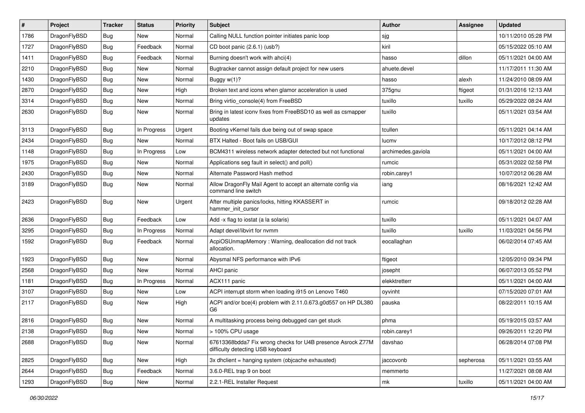| $\sharp$ | Project      | <b>Tracker</b> | <b>Status</b> | <b>Priority</b> | Subject                                                                                          | <b>Author</b>      | Assignee  | <b>Updated</b>      |
|----------|--------------|----------------|---------------|-----------------|--------------------------------------------------------------------------------------------------|--------------------|-----------|---------------------|
| 1786     | DragonFlyBSD | Bug            | New           | Normal          | Calling NULL function pointer initiates panic loop                                               | sjg                |           | 10/11/2010 05:28 PM |
| 1727     | DragonFlyBSD | Bug            | Feedback      | Normal          | CD boot panic (2.6.1) (usb?)                                                                     | kiril              |           | 05/15/2022 05:10 AM |
| 1411     | DragonFlyBSD | <b>Bug</b>     | Feedback      | Normal          | Burning doesn't work with ahci(4)                                                                | hasso              | dillon    | 05/11/2021 04:00 AM |
| 2210     | DragonFlyBSD | <b>Bug</b>     | New           | Normal          | Bugtracker cannot assign default project for new users                                           | ahuete.devel       |           | 11/17/2011 11:30 AM |
| 1430     | DragonFlyBSD | Bug            | New           | Normal          | Buggy w(1)?                                                                                      | hasso              | alexh     | 11/24/2010 08:09 AM |
| 2870     | DragonFlyBSD | <b>Bug</b>     | <b>New</b>    | High            | Broken text and icons when glamor acceleration is used                                           | 375gnu             | ftigeot   | 01/31/2016 12:13 AM |
| 3314     | DragonFlyBSD | <b>Bug</b>     | New           | Normal          | Bring virtio_console(4) from FreeBSD                                                             | tuxillo            | tuxillo   | 05/29/2022 08:24 AM |
| 2630     | DragonFlyBSD | <b>Bug</b>     | <b>New</b>    | Normal          | Bring in latest iconv fixes from FreeBSD10 as well as csmapper<br>updates                        | tuxillo            |           | 05/11/2021 03:54 AM |
| 3113     | DragonFlyBSD | Bug            | In Progress   | Urgent          | Booting vKernel fails due being out of swap space                                                | tcullen            |           | 05/11/2021 04:14 AM |
| 2434     | DragonFlyBSD | <b>Bug</b>     | New           | Normal          | BTX Halted - Boot fails on USB/GUI                                                               | lucmv              |           | 10/17/2012 08:12 PM |
| 1148     | DragonFlyBSD | <b>Bug</b>     | In Progress   | Low             | BCM4311 wireless network adapter detected but not functional                                     | archimedes.gaviola |           | 05/11/2021 04:00 AM |
| 1975     | DragonFlyBSD | <b>Bug</b>     | New           | Normal          | Applications seg fault in select() and poll()                                                    | rumcic             |           | 05/31/2022 02:58 PM |
| 2430     | DragonFlyBSD | <b>Bug</b>     | <b>New</b>    | Normal          | Alternate Password Hash method                                                                   | robin.carey1       |           | 10/07/2012 06:28 AM |
| 3189     | DragonFlyBSD | Bug            | New           | Normal          | Allow DragonFly Mail Agent to accept an alternate config via<br>command line switch              | iang               |           | 08/16/2021 12:42 AM |
| 2423     | DragonFlyBSD | Bug            | New           | Urgent          | After multiple panics/locks, hitting KKASSERT in<br>hammer_init_cursor                           | rumcic             |           | 09/18/2012 02:28 AM |
| 2636     | DragonFlyBSD | Bug            | Feedback      | Low             | Add -x flag to iostat (a la solaris)                                                             | tuxillo            |           | 05/11/2021 04:07 AM |
| 3295     | DragonFlyBSD | <b>Bug</b>     | In Progress   | Normal          | Adapt devel/libvirt for nvmm                                                                     | tuxillo            | tuxillo   | 11/03/2021 04:56 PM |
| 1592     | DragonFlyBSD | Bug            | Feedback      | Normal          | AcpiOSUnmapMemory: Warning, deallocation did not track<br>allocation.                            | eocallaghan        |           | 06/02/2014 07:45 AM |
| 1923     | DragonFlyBSD | Bug            | New           | Normal          | Abysmal NFS performance with IPv6                                                                | ftigeot            |           | 12/05/2010 09:34 PM |
| 2568     | DragonFlyBSD | <b>Bug</b>     | New           | Normal          | AHCI panic                                                                                       | josepht            |           | 06/07/2013 05:52 PM |
| 1181     | DragonFlyBSD | <b>Bug</b>     | In Progress   | Normal          | ACX111 panic                                                                                     | elekktretterr      |           | 05/11/2021 04:00 AM |
| 3107     | DragonFlyBSD | Bug            | <b>New</b>    | Low             | ACPI interrupt storm when loading i915 on Lenovo T460                                            | oyvinht            |           | 07/15/2020 07:01 AM |
| 2117     | DragonFlyBSD | Bug            | New           | High            | ACPI and/or bce(4) problem with 2.11.0.673.g0d557 on HP DL380<br>G <sub>6</sub>                  | pauska             |           | 08/22/2011 10:15 AM |
| 2816     | DragonFlyBSD | Bug            | New           | Normal          | A multitasking process being debugged can get stuck                                              | phma               |           | 05/19/2015 03:57 AM |
| 2138     | DragonFlyBSD | <b>Bug</b>     | <b>New</b>    | Normal          | > 100% CPU usage                                                                                 | robin.carey1       |           | 09/26/2011 12:20 PM |
| 2688     | DragonFlyBSD | <b>Bug</b>     | New           | Normal          | 67613368bdda7 Fix wrong checks for U4B presence Asrock Z77M<br>difficulty detecting USB keyboard | davshao            |           | 06/28/2014 07:08 PM |
| 2825     | DragonFlyBSD | <b>Bug</b>     | New           | High            | 3x dhclient = hanging system (objcache exhausted)                                                | jaccovonb          | sepherosa | 05/11/2021 03:55 AM |
| 2644     | DragonFlyBSD | <b>Bug</b>     | Feedback      | Normal          | 3.6.0-REL trap 9 on boot                                                                         | memmerto           |           | 11/27/2021 08:08 AM |
| 1293     | DragonFlyBSD | <b>Bug</b>     | New           | Normal          | 2.2.1-REL Installer Request                                                                      | mk                 | tuxillo   | 05/11/2021 04:00 AM |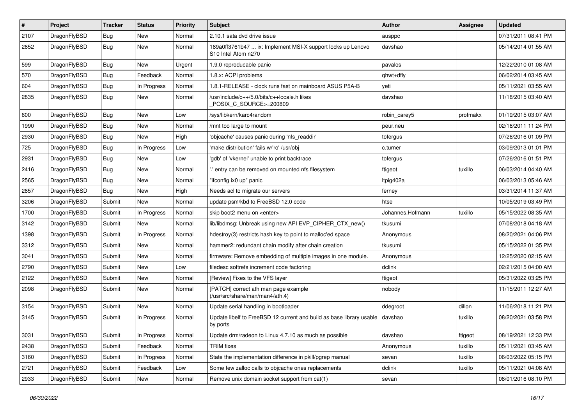| $\sharp$ | Project      | <b>Tracker</b> | <b>Status</b> | <b>Priority</b> | Subject                                                                                                    | <b>Author</b>    | Assignee | <b>Updated</b>      |
|----------|--------------|----------------|---------------|-----------------|------------------------------------------------------------------------------------------------------------|------------------|----------|---------------------|
| 2107     | DragonFlyBSD | Bug            | New           | Normal          | 2.10.1 sata dvd drive issue                                                                                | ausppc           |          | 07/31/2011 08:41 PM |
| 2652     | DragonFlyBSD | Bug            | New           | Normal          | 189a0ff3761b47  ix: Implement MSI-X support locks up Lenovo<br>S <sub>10</sub> Intel Atom n <sub>270</sub> | davshao          |          | 05/14/2014 01:55 AM |
| 599      | DragonFlyBSD | Bug            | New           | Urgent          | 1.9.0 reproducable panic                                                                                   | pavalos          |          | 12/22/2010 01:08 AM |
| 570      | DragonFlyBSD | Bug            | Feedback      | Normal          | 1.8.x: ACPI problems                                                                                       | qhwt+dfly        |          | 06/02/2014 03:45 AM |
| 604      | DragonFlyBSD | Bug            | In Progress   | Normal          | 1.8.1-RELEASE - clock runs fast on mainboard ASUS P5A-B                                                    | yeti             |          | 05/11/2021 03:55 AM |
| 2835     | DragonFlyBSD | Bug            | New           | Normal          | /usr/include/c++/5.0/bits/c++locale.h likes<br>POSIX_C_SOURCE>=200809                                      | davshao          |          | 11/18/2015 03:40 AM |
| 600      | DragonFlyBSD | Bug            | <b>New</b>    | Low             | /sys/libkern/karc4random                                                                                   | robin_carey5     | profmakx | 01/19/2015 03:07 AM |
| 1990     | DragonFlyBSD | Bug            | New           | Normal          | /mnt too large to mount                                                                                    | peur.neu         |          | 02/16/2011 11:24 PM |
| 2930     | DragonFlyBSD | Bug            | <b>New</b>    | High            | 'objcache' causes panic during 'nfs readdir'                                                               | tofergus         |          | 07/26/2016 01:09 PM |
| 725      | DragonFlyBSD | <b>Bug</b>     | In Progress   | Low             | 'make distribution' fails w/'ro' /usr/obj                                                                  | c.turner         |          | 03/09/2013 01:01 PM |
| 2931     | DragonFlyBSD | <b>Bug</b>     | New           | Low             | 'gdb' of 'vkernel' unable to print backtrace                                                               | tofergus         |          | 07/26/2016 01:51 PM |
| 2416     | DragonFlyBSD | <b>Bug</b>     | New           | Normal          | ".' entry can be removed on mounted nfs filesystem                                                         | ftigeot          | tuxillo  | 06/03/2014 04:40 AM |
| 2565     | DragonFlyBSD | Bug            | New           | Normal          | "ifconfig ix0 up" panic                                                                                    | Itpig402a        |          | 06/03/2013 05:46 AM |
| 2657     | DragonFlyBSD | <b>Bug</b>     | New           | High            | Needs acl to migrate our servers                                                                           | ferney           |          | 03/31/2014 11:37 AM |
| 3206     | DragonFlyBSD | Submit         | <b>New</b>    | Normal          | update psm/kbd to FreeBSD 12.0 code                                                                        | htse             |          | 10/05/2019 03:49 PM |
| 1700     | DragonFlyBSD | Submit         | In Progress   | Normal          | skip boot2 menu on <enter></enter>                                                                         | Johannes.Hofmann | tuxillo  | 05/15/2022 08:35 AM |
| 3142     | DragonFlyBSD | Submit         | New           | Normal          | lib/libdmsg: Unbreak using new API EVP CIPHER CTX new()                                                    | tkusumi          |          | 07/08/2018 04:18 AM |
| 1398     | DragonFlyBSD | Submit         | In Progress   | Normal          | hdestroy(3) restricts hash key to point to malloc'ed space                                                 | Anonymous        |          | 08/20/2021 04:06 PM |
| 3312     | DragonFlyBSD | Submit         | New           | Normal          | hammer2: redundant chain modify after chain creation                                                       | tkusumi          |          | 05/15/2022 01:35 PM |
| 3041     | DragonFlyBSD | Submit         | New           | Normal          | firmware: Remove embedding of multiple images in one module.                                               | Anonymous        |          | 12/25/2020 02:15 AM |
| 2790     | DragonFlyBSD | Submit         | New           | Low             | filedesc softrefs increment code factoring                                                                 | dclink           |          | 02/21/2015 04:00 AM |
| 2122     | DragonFlyBSD | Submit         | New           | Normal          | [Review] Fixes to the VFS layer                                                                            | ftigeot          |          | 05/31/2022 03:25 PM |
| 2098     | DragonFlyBSD | Submit         | New           | Normal          | [PATCH] correct ath man page example<br>(/usr/src/share/man/man4/ath.4)                                    | nobody           |          | 11/15/2011 12:27 AM |
| 3154     | DragonFlyBSD | Submit         | <b>New</b>    | Normal          | Update serial handling in bootloader                                                                       | ddegroot         | dillon   | 11/06/2018 11:21 PM |
| 3145     | DragonFlyBSD | Submit         | In Progress   | Normal          | Update libelf to FreeBSD 12 current and build as base library usable<br>by ports                           | davshao          | tuxillo  | 08/20/2021 03:58 PM |
| 3031     | DragonFlyBSD | Submit         | In Progress   | Normal          | Update drm/radeon to Linux 4.7.10 as much as possible                                                      | davshao          | ftigeot  | 08/19/2021 12:33 PM |
| 2438     | DragonFlyBSD | Submit         | Feedback      | Normal          | <b>TRIM</b> fixes                                                                                          | Anonymous        | tuxillo  | 05/11/2021 03:45 AM |
| 3160     | DragonFlyBSD | Submit         | In Progress   | Normal          | State the implementation difference in pkill/pgrep manual                                                  | sevan            | tuxillo  | 06/03/2022 05:15 PM |
| 2721     | DragonFlyBSD | Submit         | Feedback      | Low             | Some few zalloc calls to objcache ones replacements                                                        | dclink           | tuxillo  | 05/11/2021 04:08 AM |
| 2933     | DragonFlyBSD | Submit         | New           | Normal          | Remove unix domain socket support from cat(1)                                                              | sevan            |          | 08/01/2016 08:10 PM |